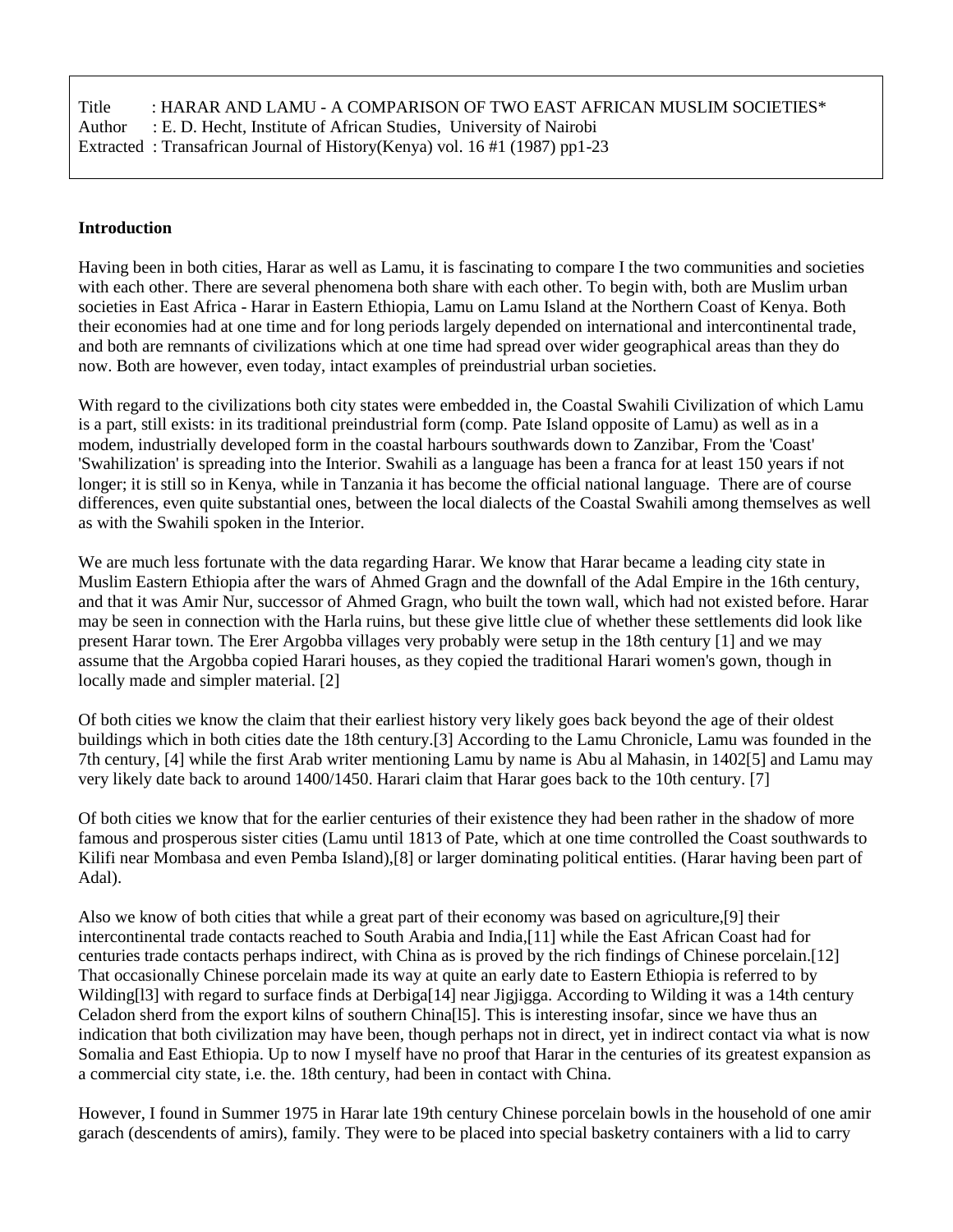| Title | : HARAR AND LAMU - A COMPARISON OF TWO EAST AFRICAN MUSLIM SOCIETIES*      |
|-------|----------------------------------------------------------------------------|
|       | Author : E. D. Hecht, Institute of African Studies, University of Nairobi  |
|       | Extracted: Transafrican Journal of History(Kenya) vol. 16 #1 (1987) pp1-23 |

#### **Introduction**

Having been in both cities, Harar as well as Lamu, it is fascinating to compare I the two communities and societies with each other. There are several phenomena both share with each other. To begin with, both are Muslim urban societies in East Africa - Harar in Eastern Ethiopia, Lamu on Lamu Island at the Northern Coast of Kenya. Both their economies had at one time and for long periods largely depended on international and intercontinental trade, and both are remnants of civilizations which at one time had spread over wider geographical areas than they do now. Both are however, even today, intact examples of preindustrial urban societies.

With regard to the civilizations both city states were embedded in, the Coastal Swahili Civilization of which Lamu is a part, still exists: in its traditional preindustrial form (comp. Pate Island opposite of Lamu) as well as in a modem, industrially developed form in the coastal harbours southwards down to Zanzibar, From the 'Coast' 'Swahilization' is spreading into the Interior. Swahili as a language has been a franca for at least 150 years if not longer; it is still so in Kenya, while in Tanzania it has become the official national language. There are of course differences, even quite substantial ones, between the local dialects of the Coastal Swahili among themselves as well as with the Swahili spoken in the Interior.

We are much less fortunate with the data regarding Harar. We know that Harar became a leading city state in Muslim Eastern Ethiopia after the wars of Ahmed Gragn and the downfall of the Adal Empire in the 16th century, and that it was Amir Nur, successor of Ahmed Gragn, who built the town wall, which had not existed before. Harar may be seen in connection with the Harla ruins, but these give little clue of whether these settlements did look like present Harar town. The Erer Argobba villages very probably were setup in the 18th century [1] and we may assume that the Argobba copied Harari houses, as they copied the traditional Harari women's gown, though in locally made and simpler material. [2]

Of both cities we know the claim that their earliest history very likely goes back beyond the age of their oldest buildings which in both cities date the 18th century.[3] According to the Lamu Chronicle, Lamu was founded in the 7th century, [4] while the first Arab writer mentioning Lamu by name is Abu al Mahasin, in 1402[5] and Lamu may very likely date back to around 1400/1450. Harari claim that Harar goes back to the 10th century. [7]

Of both cities we know that for the earlier centuries of their existence they had been rather in the shadow of more famous and prosperous sister cities (Lamu until 1813 of Pate, which at one time controlled the Coast southwards to Kilifi near Mombasa and even Pemba Island),[8] or larger dominating political entities. (Harar having been part of Adal).

Also we know of both cities that while a great part of their economy was based on agriculture,[9] their intercontinental trade contacts reached to South Arabia and India,[11] while the East African Coast had for centuries trade contacts perhaps indirect, with China as is proved by the rich findings of Chinese porcelain.[12] That occasionally Chinese porcelain made its way at quite an early date to Eastern Ethiopia is referred to by Wilding[13] with regard to surface finds at Derbiga[14] near Jigjigga. According to Wilding it was a 14th century Celadon sherd from the export kilns of southern China[l5]. This is interesting insofar, since we have thus an indication that both civilization may have been, though perhaps not in direct, yet in indirect contact via what is now Somalia and East Ethiopia. Up to now I myself have no proof that Harar in the centuries of its greatest expansion as a commercial city state, i.e. the. 18th century, had been in contact with China.

However, I found in Summer 1975 in Harar late 19th century Chinese porcelain bowls in the household of one amir garach (descendents of amirs), family. They were to be placed into special basketry containers with a lid to carry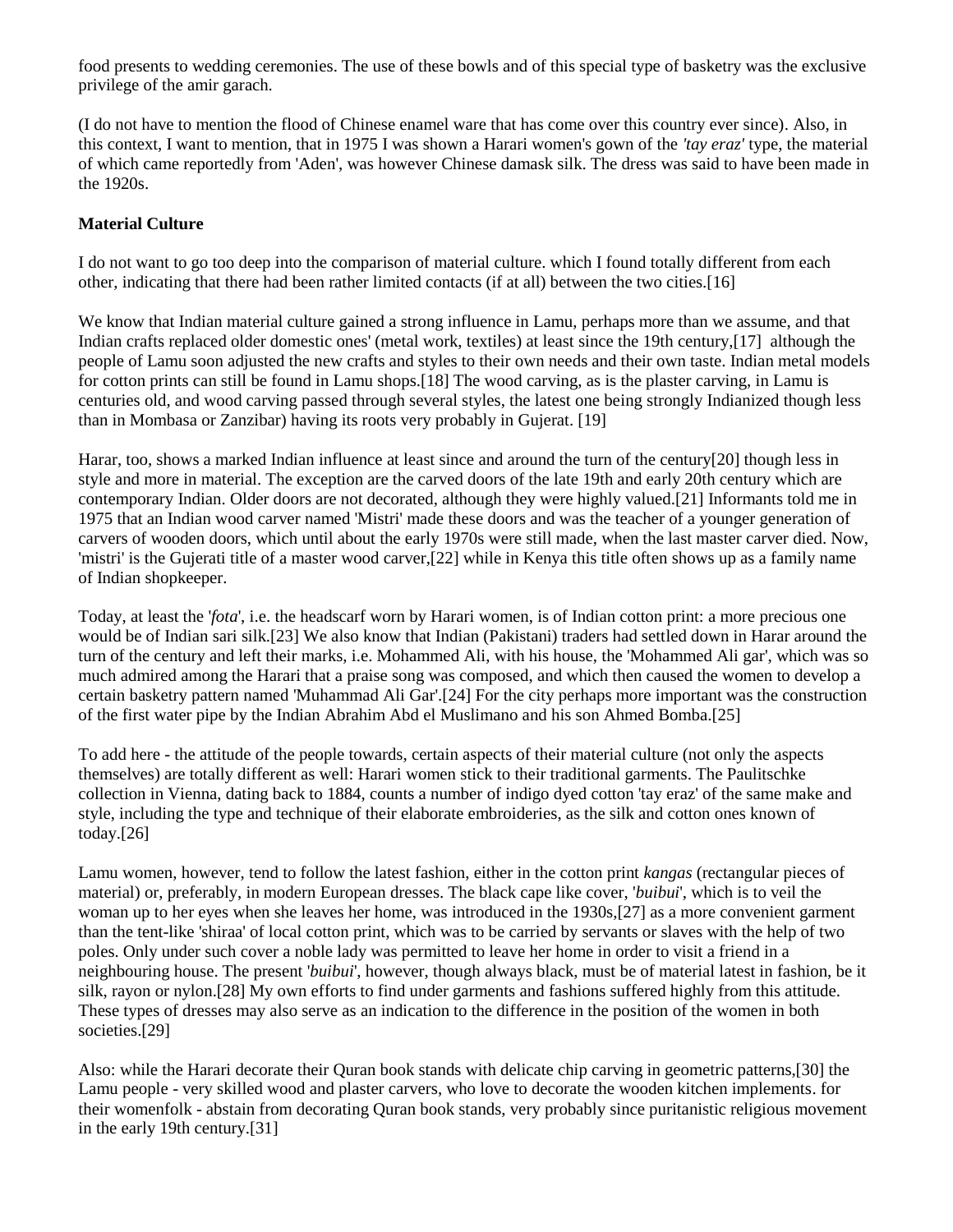food presents to wedding ceremonies. The use of these bowls and of this special type of basketry was the exclusive privilege of the amir garach.

(I do not have to mention the flood of Chinese enamel ware that has come over this country ever since). Also, in this context, I want to mention, that in 1975 I was shown a Harari women's gown of the *'tay eraz'* type, the material of which came reportedly from 'Aden', was however Chinese damask silk. The dress was said to have been made in the 1920s.

# **Material Culture**

I do not want to go too deep into the comparison of material culture. which I found totally different from each other, indicating that there had been rather limited contacts (if at all) between the two cities.[16]

We know that Indian material culture gained a strong influence in Lamu, perhaps more than we assume, and that Indian crafts replaced older domestic ones' (metal work, textiles) at least since the 19th century,[17] although the people of Lamu soon adjusted the new crafts and styles to their own needs and their own taste. Indian metal models for cotton prints can still be found in Lamu shops.[18] The wood carving, as is the plaster carving, in Lamu is centuries old, and wood carving passed through several styles, the latest one being strongly Indianized though less than in Mombasa or Zanzibar) having its roots very probably in Gujerat. [19]

Harar, too, shows a marked Indian influence at least since and around the turn of the century[20] though less in style and more in material. The exception are the carved doors of the late 19th and early 20th century which are contemporary Indian. Older doors are not decorated, although they were highly valued.[21] Informants told me in 1975 that an Indian wood carver named 'Mistri' made these doors and was the teacher of a younger generation of carvers of wooden doors, which until about the early 1970s were still made, when the last master carver died. Now, 'mistri' is the Gujerati title of a master wood carver,[22] while in Kenya this title often shows up as a family name of Indian shopkeeper.

Today, at least the '*fota*', i.e. the headscarf worn by Harari women, is of Indian cotton print: a more precious one would be of Indian sari silk.[23] We also know that Indian (Pakistani) traders had settled down in Harar around the turn of the century and left their marks, i.e. Mohammed Ali, with his house, the 'Mohammed Ali gar', which was so much admired among the Harari that a praise song was composed, and which then caused the women to develop a certain basketry pattern named 'Muhammad Ali Gar'.[24] For the city perhaps more important was the construction of the first water pipe by the Indian Abrahim Abd el Muslimano and his son Ahmed Bomba.[25]

To add here - the attitude of the people towards, certain aspects of their material culture (not only the aspects themselves) are totally different as well: Harari women stick to their traditional garments. The Paulitschke collection in Vienna, dating back to 1884, counts a number of indigo dyed cotton 'tay eraz' of the same make and style, including the type and technique of their elaborate embroideries, as the silk and cotton ones known of today.[26]

Lamu women, however, tend to follow the latest fashion, either in the cotton print *kangas* (rectangular pieces of material) or, preferably, in modern European dresses. The black cape like cover, '*buibui*', which is to veil the woman up to her eyes when she leaves her home, was introduced in the 1930s,[27] as a more convenient garment than the tent-like 'shiraa' of local cotton print, which was to be carried by servants or slaves with the help of two poles. Only under such cover a noble lady was permitted to leave her home in order to visit a friend in a neighbouring house. The present '*buibui*', however, though always black, must be of material latest in fashion, be it silk, rayon or nylon.[28] My own efforts to find under garments and fashions suffered highly from this attitude. These types of dresses may also serve as an indication to the difference in the position of the women in both societies.[29]

Also: while the Harari decorate their Quran book stands with delicate chip carving in geometric patterns,[30] the Lamu people - very skilled wood and plaster carvers, who love to decorate the wooden kitchen implements. for their womenfolk - abstain from decorating Quran book stands, very probably since puritanistic religious movement in the early 19th century.[31]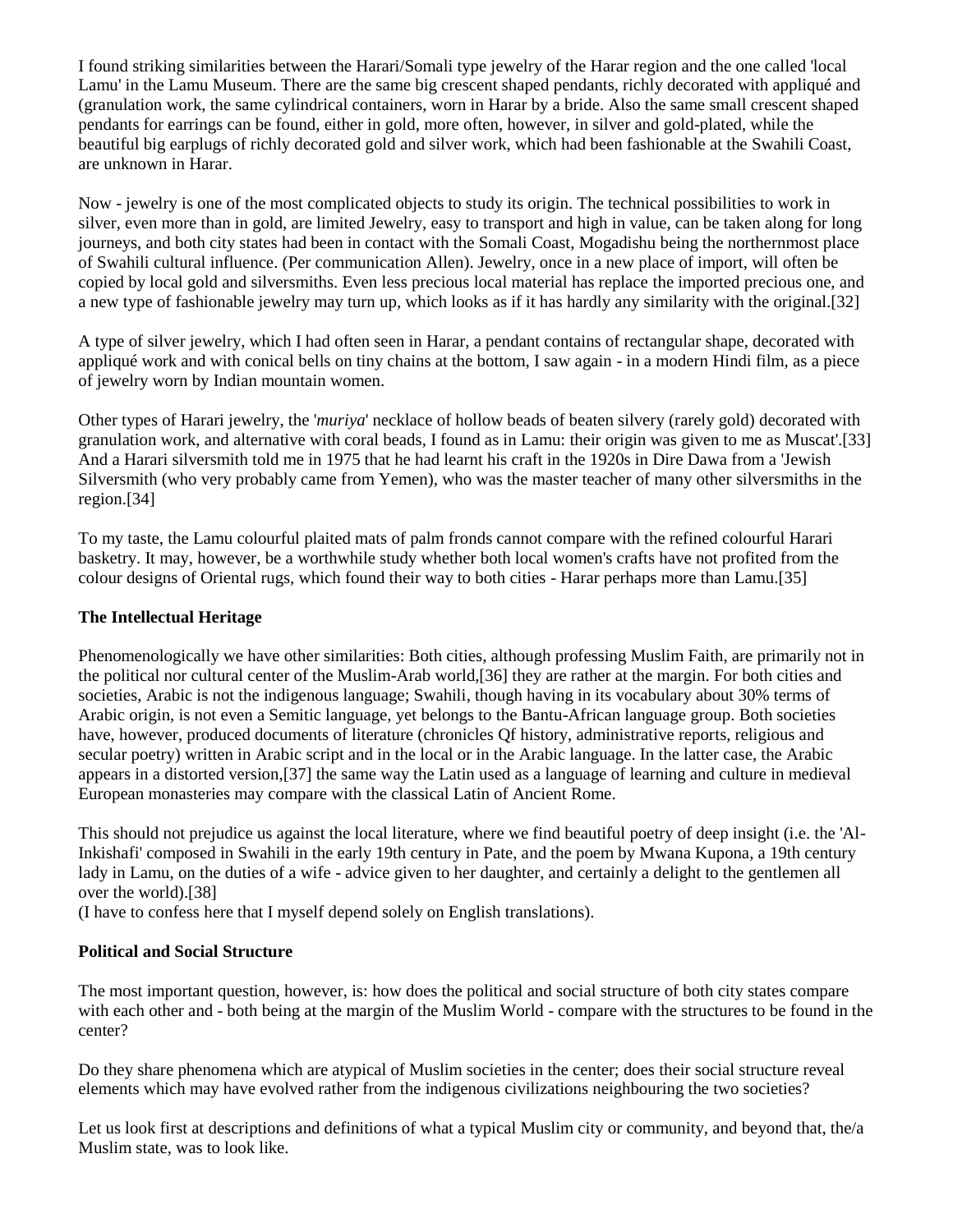I found striking similarities between the Harari/Somali type jewelry of the Harar region and the one called 'local Lamu' in the Lamu Museum. There are the same big crescent shaped pendants, richly decorated with appliqué and (granulation work, the same cylindrical containers, worn in Harar by a bride. Also the same small crescent shaped pendants for earrings can be found, either in gold, more often, however, in silver and gold-plated, while the beautiful big earplugs of richly decorated gold and silver work, which had been fashionable at the Swahili Coast, are unknown in Harar.

Now - jewelry is one of the most complicated objects to study its origin. The technical possibilities to work in silver, even more than in gold, are limited Jewelry, easy to transport and high in value, can be taken along for long journeys, and both city states had been in contact with the Somali Coast, Mogadishu being the northernmost place of Swahili cultural influence. (Per communication Allen). Jewelry, once in a new place of import, will often be copied by local gold and silversmiths. Even less precious local material has replace the imported precious one, and a new type of fashionable jewelry may turn up, which looks as if it has hardly any similarity with the original.[32]

A type of silver jewelry, which I had often seen in Harar, a pendant contains of rectangular shape, decorated with appliqué work and with conical bells on tiny chains at the bottom, I saw again - in a modern Hindi film, as a piece of jewelry worn by Indian mountain women.

Other types of Harari jewelry, the '*muriya*' necklace of hollow beads of beaten silvery (rarely gold) decorated with granulation work, and alternative with coral beads, I found as in Lamu: their origin was given to me as Muscat'.[33] And a Harari silversmith told me in 1975 that he had learnt his craft in the 1920s in Dire Dawa from a 'Jewish Silversmith (who very probably came from Yemen), who was the master teacher of many other silversmiths in the region.[34]

To my taste, the Lamu colourful plaited mats of palm fronds cannot compare with the refined colourful Harari basketry. It may, however, be a worthwhile study whether both local women's crafts have not profited from the colour designs of Oriental rugs, which found their way to both cities - Harar perhaps more than Lamu.[35]

## **The Intellectual Heritage**

Phenomenologically we have other similarities: Both cities, although professing Muslim Faith, are primarily not in the political nor cultural center of the Muslim-Arab world,[36] they are rather at the margin. For both cities and societies, Arabic is not the indigenous language; Swahili, though having in its vocabulary about 30% terms of Arabic origin, is not even a Semitic language, yet belongs to the Bantu-African language group. Both societies have, however, produced documents of literature (chronicles Qf history, administrative reports, religious and secular poetry) written in Arabic script and in the local or in the Arabic language. In the latter case, the Arabic appears in a distorted version,[37] the same way the Latin used as a language of learning and culture in medieval European monasteries may compare with the classical Latin of Ancient Rome.

This should not prejudice us against the local literature, where we find beautiful poetry of deep insight (i.e. the 'Al-Inkishafi' composed in Swahili in the early 19th century in Pate, and the poem by Mwana Kupona, a 19th century lady in Lamu, on the duties of a wife - advice given to her daughter, and certainly a delight to the gentlemen all over the world).[38]

(I have to confess here that I myself depend solely on English translations).

### **Political and Social Structure**

The most important question, however, is: how does the political and social structure of both city states compare with each other and - both being at the margin of the Muslim World - compare with the structures to be found in the center?

Do they share phenomena which are atypical of Muslim societies in the center; does their social structure reveal elements which may have evolved rather from the indigenous civilizations neighbouring the two societies?

Let us look first at descriptions and definitions of what a typical Muslim city or community, and beyond that, the/a Muslim state, was to look like.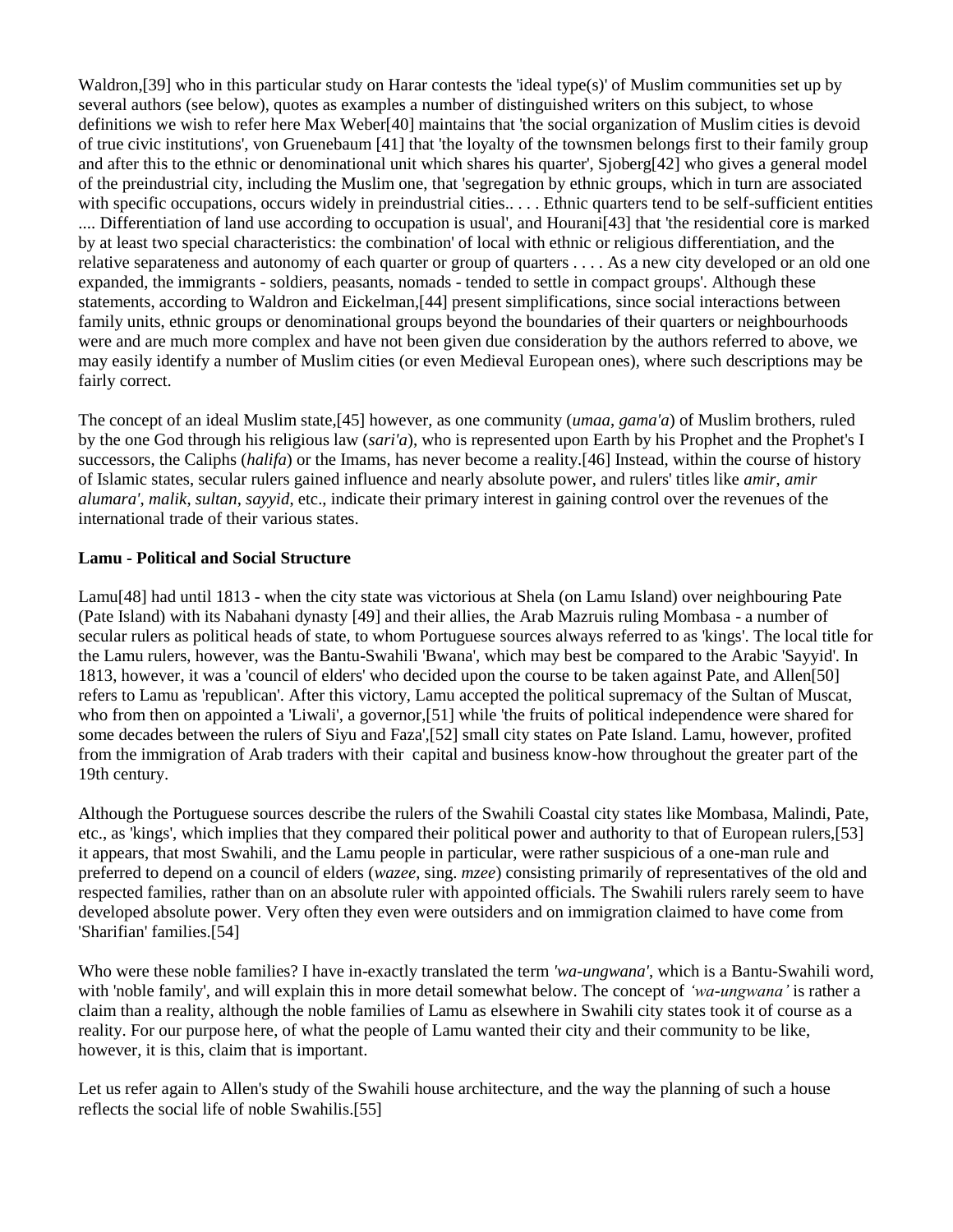Waldron,[39] who in this particular study on Harar contests the 'ideal type(s)' of Muslim communities set up by several authors (see below), quotes as examples a number of distinguished writers on this subject, to whose definitions we wish to refer here Max Weber[40] maintains that 'the social organization of Muslim cities is devoid of true civic institutions', von Gruenebaum [41] that 'the loyalty of the townsmen belongs first to their family group and after this to the ethnic or denominational unit which shares his quarter', Sjoberg[42] who gives a general model of the preindustrial city, including the Muslim one, that 'segregation by ethnic groups, which in turn are associated with specific occupations, occurs widely in preindustrial cities.... . Ethnic quarters tend to be self-sufficient entities .... Differentiation of land use according to occupation is usual', and Hourani[43] that 'the residential core is marked by at least two special characteristics: the combination' of local with ethnic or religious differentiation, and the relative separateness and autonomy of each quarter or group of quarters . . . . As a new city developed or an old one expanded, the immigrants - soldiers, peasants, nomads - tended to settle in compact groups'. Although these statements, according to Waldron and Eickelman,[44] present simplifications, since social interactions between family units, ethnic groups or denominational groups beyond the boundaries of their quarters or neighbourhoods were and are much more complex and have not been given due consideration by the authors referred to above, we may easily identify a number of Muslim cities (or even Medieval European ones), where such descriptions may be fairly correct.

The concept of an ideal Muslim state,[45] however, as one community (*umaa*, *gama'a*) of Muslim brothers, ruled by the one God through his religious law (*sari'a*), who is represented upon Earth by his Prophet and the Prophet's I successors, the Caliphs (*halifa*) or the Imams, has never become a reality.[46] Instead, within the course of history of Islamic states, secular rulers gained influence and nearly absolute power, and rulers' titles like *amir*, *amir alumara'*, *malik*, *sultan*, *sayyid*, etc., indicate their primary interest in gaining control over the revenues of the international trade of their various states.

### **Lamu - Political and Social Structure**

Lamu[48] had until 1813 - when the city state was victorious at Shela (on Lamu Island) over neighbouring Pate (Pate Island) with its Nabahani dynasty [49] and their allies, the Arab Mazruis ruling Mombasa - a number of secular rulers as political heads of state, to whom Portuguese sources always referred to as 'kings'. The local title for the Lamu rulers, however, was the Bantu-Swahili 'Bwana', which may best be compared to the Arabic 'Sayyid'. In 1813, however, it was a 'council of elders' who decided upon the course to be taken against Pate, and Allen[50] refers to Lamu as 'republican'. After this victory, Lamu accepted the political supremacy of the Sultan of Muscat, who from then on appointed a 'Liwali', a governor,[51] while 'the fruits of political independence were shared for some decades between the rulers of Siyu and Faza',[52] small city states on Pate Island. Lamu, however, profited from the immigration of Arab traders with their capital and business know-how throughout the greater part of the 19th century.

Although the Portuguese sources describe the rulers of the Swahili Coastal city states like Mombasa, Malindi, Pate, etc., as 'kings', which implies that they compared their political power and authority to that of European rulers,[53] it appears, that most Swahili, and the Lamu people in particular, were rather suspicious of a one-man rule and preferred to depend on a council of elders (*wazee*, sing. *mzee*) consisting primarily of representatives of the old and respected families, rather than on an absolute ruler with appointed officials. The Swahili rulers rarely seem to have developed absolute power. Very often they even were outsiders and on immigration claimed to have come from 'Sharifian' families.[54]

Who were these noble families? I have in-exactly translated the term *'wa-ungwana'*, which is a Bantu-Swahili word, with 'noble family', and will explain this in more detail somewhat below. The concept of *'wa-ungwana'* is rather a claim than a reality, although the noble families of Lamu as elsewhere in Swahili city states took it of course as a reality. For our purpose here, of what the people of Lamu wanted their city and their community to be like, however, it is this, claim that is important.

Let us refer again to Allen's study of the Swahili house architecture, and the way the planning of such a house reflects the social life of noble Swahilis.[55]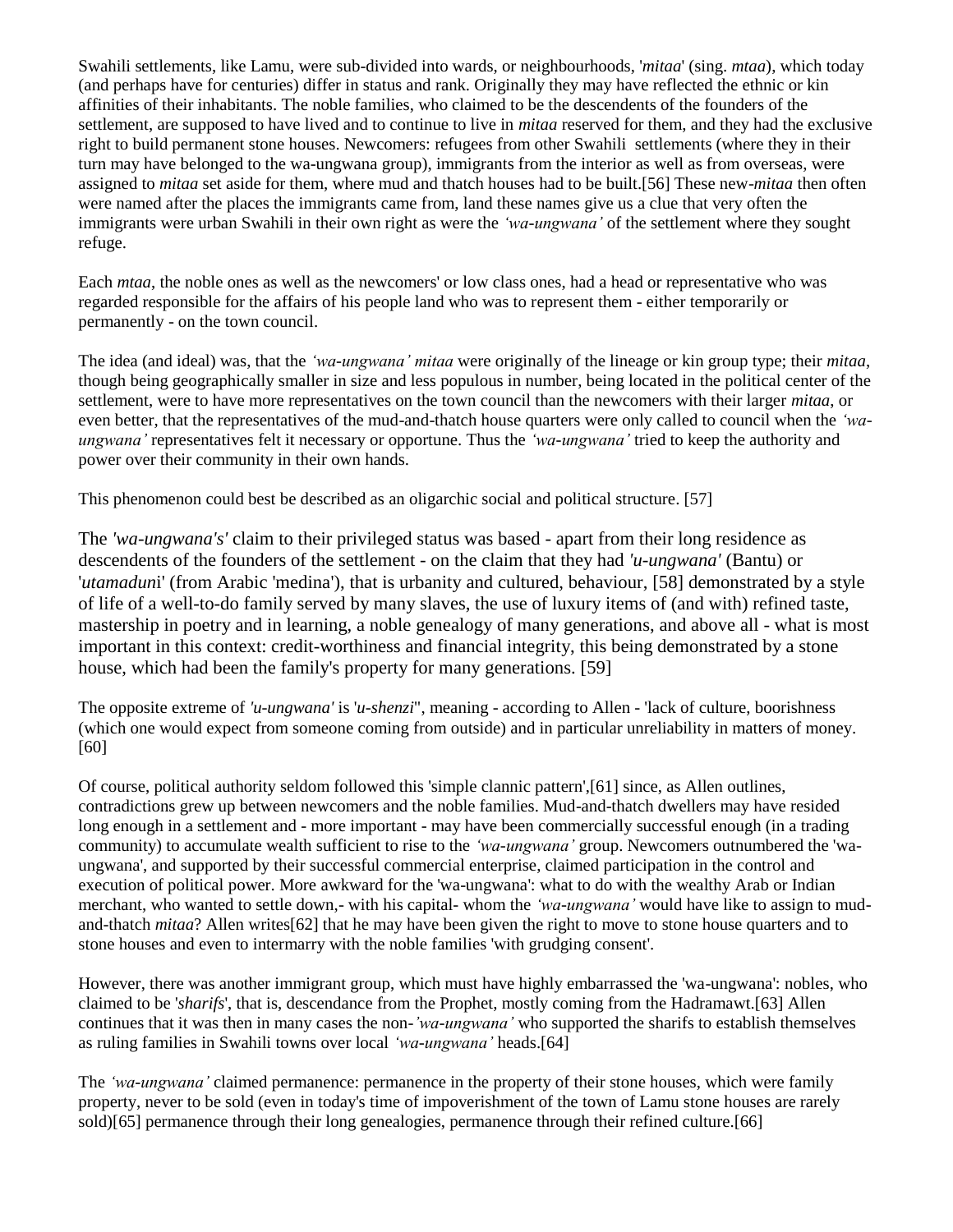Swahili settlements, like Lamu, were sub-divided into wards, or neighbourhoods, '*mitaa*' (sing. *mtaa*), which today (and perhaps have for centuries) differ in status and rank. Originally they may have reflected the ethnic or kin affinities of their inhabitants. The noble families, who claimed to be the descendents of the founders of the settlement, are supposed to have lived and to continue to live in *mitaa* reserved for them, and they had the exclusive right to build permanent stone houses. Newcomers: refugees from other Swahili settlements (where they in their turn may have belonged to the wa-ungwana group), immigrants from the interior as well as from overseas, were assigned to *mitaa* set aside for them, where mud and thatch houses had to be built.[56] These new-*mitaa* then often were named after the places the immigrants came from, land these names give us a clue that very often the immigrants were urban Swahili in their own right as were the *'wa-ungwana'* of the settlement where they sought refuge.

Each *mtaa*, the noble ones as well as the newcomers' or low class ones, had a head or representative who was regarded responsible for the affairs of his people land who was to represent them - either temporarily or permanently - on the town council.

The idea (and ideal) was, that the *'wa-ungwana' mitaa* were originally of the lineage or kin group type; their *mitaa*, though being geographically smaller in size and less populous in number, being located in the political center of the settlement, were to have more representatives on the town council than the newcomers with their larger *mitaa*, or even better, that the representatives of the mud-and-thatch house quarters were only called to council when the *'waungwana'* representatives felt it necessary or opportune. Thus the *'wa-ungwana'* tried to keep the authority and power over their community in their own hands.

This phenomenon could best be described as an oligarchic social and political structure. [57]

The *'wa-ungwana's'* claim to their privileged status was based - apart from their long residence as descendents of the founders of the settlement - on the claim that they had *'u-ungwana'* (Bantu) or '*utamadun*i' (from Arabic 'medina'), that is urbanity and cultured, behaviour, [58] demonstrated by a style of life of a well-to-do family served by many slaves, the use of luxury items of (and with) refined taste, mastership in poetry and in learning, a noble genealogy of many generations, and above all - what is most important in this context: credit-worthiness and financial integrity, this being demonstrated by a stone house, which had been the family's property for many generations. [59]

The opposite extreme of *'u-ungwana'* is '*u-shenzi*", meaning - according to Allen - 'lack of culture, boorishness (which one would expect from someone coming from outside) and in particular unreliability in matters of money. [60]

Of course, political authority seldom followed this 'simple clannic pattern',[61] since, as Allen outlines, contradictions grew up between newcomers and the noble families. Mud-and-thatch dwellers may have resided long enough in a settlement and - more important - may have been commercially successful enough (in a trading community) to accumulate wealth sufficient to rise to the *'wa-ungwana'* group. Newcomers outnumbered the 'waungwana', and supported by their successful commercial enterprise, claimed participation in the control and execution of political power. More awkward for the 'wa-ungwana': what to do with the wealthy Arab or Indian merchant, who wanted to settle down,- with his capital- whom the *'wa-ungwana'* would have like to assign to mudand-thatch *mitaa*? Allen writes[62] that he may have been given the right to move to stone house quarters and to stone houses and even to intermarry with the noble families 'with grudging consent'.

However, there was another immigrant group, which must have highly embarrassed the 'wa-ungwana': nobles, who claimed to be '*sharifs*', that is, descendance from the Prophet, mostly coming from the Hadramawt.[63] Allen continues that it was then in many cases the non-*'wa-ungwana'* who supported the sharifs to establish themselves as ruling families in Swahili towns over local *'wa-ungwana'* heads.[64]

The *'wa-ungwana'* claimed permanence: permanence in the property of their stone houses, which were family property, never to be sold (even in today's time of impoverishment of the town of Lamu stone houses are rarely sold)[65] permanence through their long genealogies, permanence through their refined culture.[66]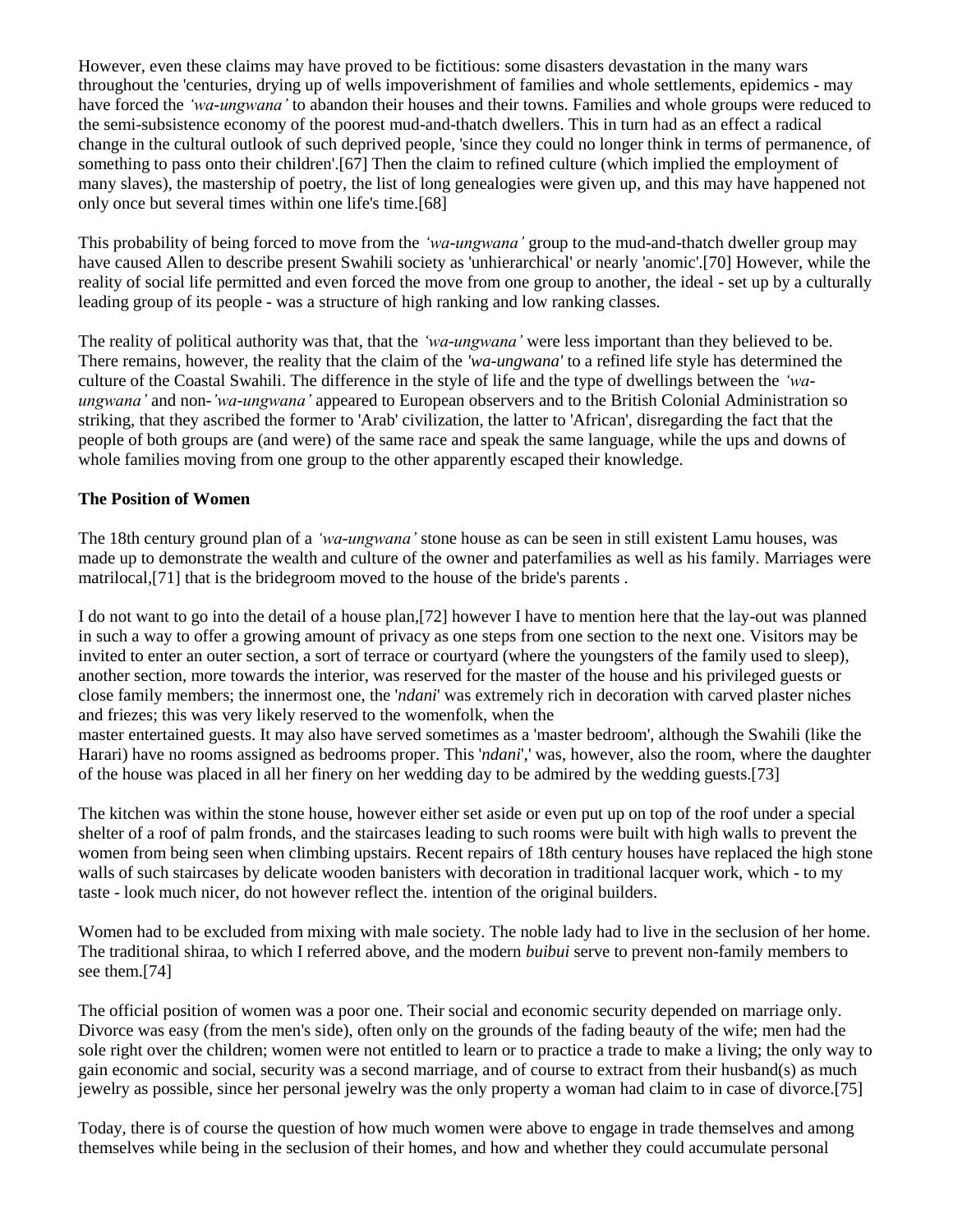However, even these claims may have proved to be fictitious: some disasters devastation in the many wars throughout the 'centuries, drying up of wells impoverishment of families and whole settlements, epidemics - may have forced the *'wa-ungwana'* to abandon their houses and their towns. Families and whole groups were reduced to the semi-subsistence economy of the poorest mud-and-thatch dwellers. This in turn had as an effect a radical change in the cultural outlook of such deprived people, 'since they could no longer think in terms of permanence, of something to pass onto their children'.[67] Then the claim to refined culture (which implied the employment of many slaves), the mastership of poetry, the list of long genealogies were given up, and this may have happened not only once but several times within one life's time.[68]

This probability of being forced to move from the *'wa-ungwana'* group to the mud-and-thatch dweller group may have caused Allen to describe present Swahili society as 'unhierarchical' or nearly 'anomic'.[70] However, while the reality of social life permitted and even forced the move from one group to another, the ideal - set up by a culturally leading group of its people - was a structure of high ranking and low ranking classes.

The reality of political authority was that, that the *'wa-ungwana'* were less important than they believed to be. There remains, however, the reality that the claim of the *'wa-ungwana'* to a refined life style has determined the culture of the Coastal Swahili. The difference in the style of life and the type of dwellings between the *'waungwana'* and non-*'wa-ungwana'* appeared to European observers and to the British Colonial Administration so striking, that they ascribed the former to 'Arab' civilization, the latter to 'African', disregarding the fact that the people of both groups are (and were) of the same race and speak the same language, while the ups and downs of whole families moving from one group to the other apparently escaped their knowledge.

### **The Position of Women**

The 18th century ground plan of a *'wa-ungwana'* stone house as can be seen in still existent Lamu houses, was made up to demonstrate the wealth and culture of the owner and paterfamilies as well as his family. Marriages were matrilocal,[71] that is the bridegroom moved to the house of the bride's parents .

I do not want to go into the detail of a house plan,[72] however I have to mention here that the lay-out was planned in such a way to offer a growing amount of privacy as one steps from one section to the next one. Visitors may be invited to enter an outer section, a sort of terrace or courtyard (where the youngsters of the family used to sleep), another section, more towards the interior, was reserved for the master of the house and his privileged guests or close family members; the innermost one, the '*ndani*' was extremely rich in decoration with carved plaster niches and friezes; this was very likely reserved to the womenfolk, when the

master entertained guests. It may also have served sometimes as a 'master bedroom', although the Swahili (like the Harari) have no rooms assigned as bedrooms proper. This '*ndani*',' was, however, also the room, where the daughter of the house was placed in all her finery on her wedding day to be admired by the wedding guests.[73]

The kitchen was within the stone house, however either set aside or even put up on top of the roof under a special shelter of a roof of palm fronds, and the staircases leading to such rooms were built with high walls to prevent the women from being seen when climbing upstairs. Recent repairs of 18th century houses have replaced the high stone walls of such staircases by delicate wooden banisters with decoration in traditional lacquer work, which - to my taste - look much nicer, do not however reflect the. intention of the original builders.

Women had to be excluded from mixing with male society. The noble lady had to live in the seclusion of her home. The traditional shiraa, to which I referred above, and the modern *buibui* serve to prevent non-family members to see them.[74]

The official position of women was a poor one. Their social and economic security depended on marriage only. Divorce was easy (from the men's side), often only on the grounds of the fading beauty of the wife; men had the sole right over the children; women were not entitled to learn or to practice a trade to make a living; the only way to gain economic and social, security was a second marriage, and of course to extract from their husband(s) as much jewelry as possible, since her personal jewelry was the only property a woman had claim to in case of divorce.[75]

Today, there is of course the question of how much women were above to engage in trade themselves and among themselves while being in the seclusion of their homes, and how and whether they could accumulate personal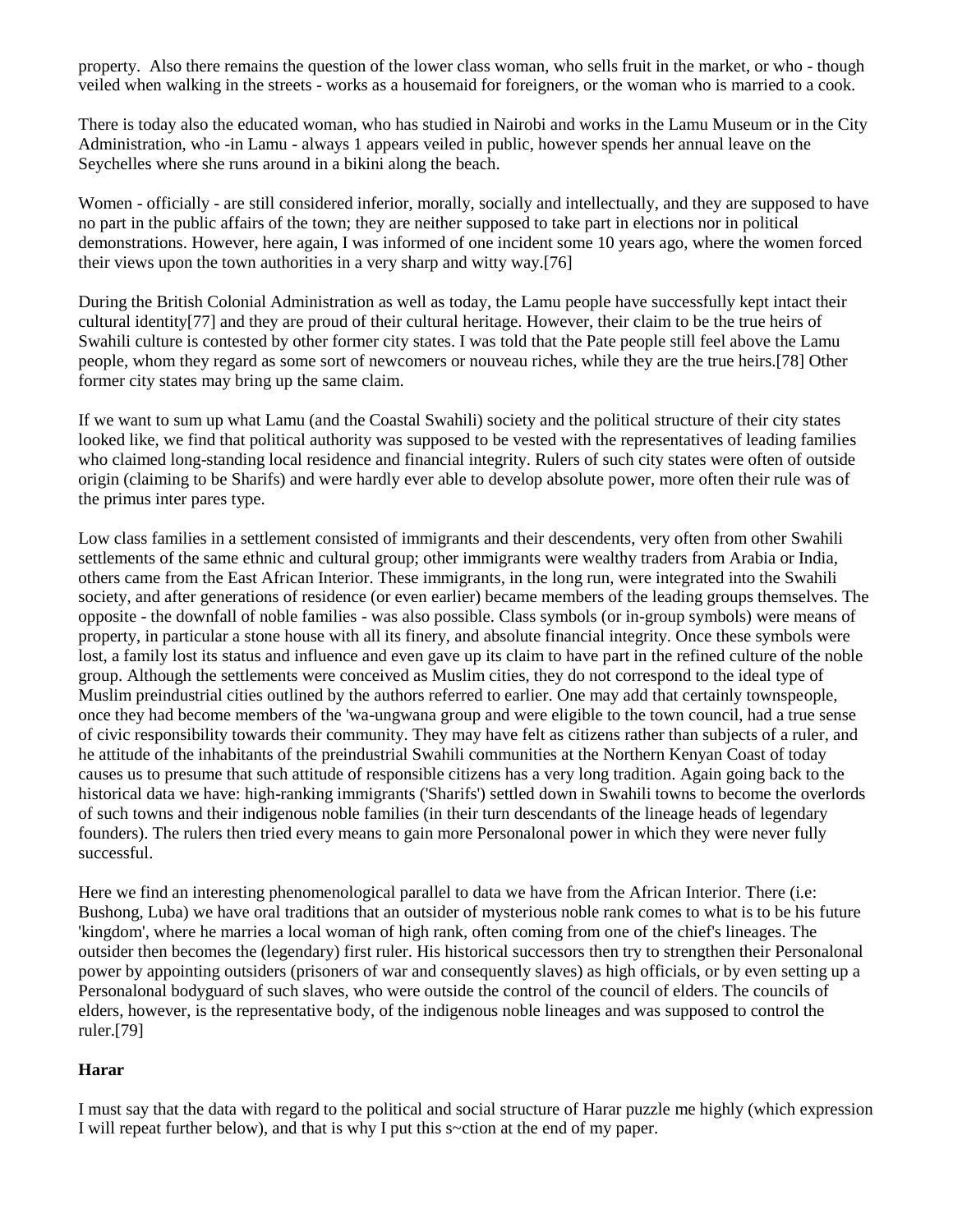property. Also there remains the question of the lower class woman, who sells fruit in the market, or who - though veiled when walking in the streets - works as a housemaid for foreigners, or the woman who is married to a cook.

There is today also the educated woman, who has studied in Nairobi and works in the Lamu Museum or in the City Administration, who -in Lamu - always 1 appears veiled in public, however spends her annual leave on the Seychelles where she runs around in a bikini along the beach.

Women - officially - are still considered inferior, morally, socially and intellectually, and they are supposed to have no part in the public affairs of the town; they are neither supposed to take part in elections nor in political demonstrations. However, here again, I was informed of one incident some 10 years ago, where the women forced their views upon the town authorities in a very sharp and witty way.[76]

During the British Colonial Administration as well as today, the Lamu people have successfully kept intact their cultural identity[77] and they are proud of their cultural heritage. However, their claim to be the true heirs of Swahili culture is contested by other former city states. I was told that the Pate people still feel above the Lamu people, whom they regard as some sort of newcomers or nouveau riches, while they are the true heirs.[78] Other former city states may bring up the same claim.

If we want to sum up what Lamu (and the Coastal Swahili) society and the political structure of their city states looked like, we find that political authority was supposed to be vested with the representatives of leading families who claimed long-standing local residence and financial integrity. Rulers of such city states were often of outside origin (claiming to be Sharifs) and were hardly ever able to develop absolute power, more often their rule was of the primus inter pares type.

Low class families in a settlement consisted of immigrants and their descendents, very often from other Swahili settlements of the same ethnic and cultural group; other immigrants were wealthy traders from Arabia or India, others came from the East African Interior. These immigrants, in the long run, were integrated into the Swahili society, and after generations of residence (or even earlier) became members of the leading groups themselves. The opposite - the downfall of noble families - was also possible. Class symbols (or in-group symbols) were means of property, in particular a stone house with all its finery, and absolute financial integrity. Once these symbols were lost, a family lost its status and influence and even gave up its claim to have part in the refined culture of the noble group. Although the settlements were conceived as Muslim cities, they do not correspond to the ideal type of Muslim preindustrial cities outlined by the authors referred to earlier. One may add that certainly townspeople, once they had become members of the 'wa-ungwana group and were eligible to the town council, had a true sense of civic responsibility towards their community. They may have felt as citizens rather than subjects of a ruler, and he attitude of the inhabitants of the preindustrial Swahili communities at the Northern Kenyan Coast of today causes us to presume that such attitude of responsible citizens has a very long tradition. Again going back to the historical data we have: high-ranking immigrants ('Sharifs') settled down in Swahili towns to become the overlords of such towns and their indigenous noble families (in their turn descendants of the lineage heads of legendary founders). The rulers then tried every means to gain more Personalonal power in which they were never fully successful.

Here we find an interesting phenomenological parallel to data we have from the African Interior. There (i.e: Bushong, Luba) we have oral traditions that an outsider of mysterious noble rank comes to what is to be his future 'kingdom', where he marries a local woman of high rank, often coming from one of the chief's lineages. The outsider then becomes the (legendary) first ruler. His historical successors then try to strengthen their Personalonal power by appointing outsiders (prisoners of war and consequently slaves) as high officials, or by even setting up a Personalonal bodyguard of such slaves, who were outside the control of the council of elders. The councils of elders, however, is the representative body, of the indigenous noble lineages and was supposed to control the ruler.[79]

# **Harar**

I must say that the data with regard to the political and social structure of Harar puzzle me highly (which expression I will repeat further below), and that is why I put this s~ction at the end of my paper.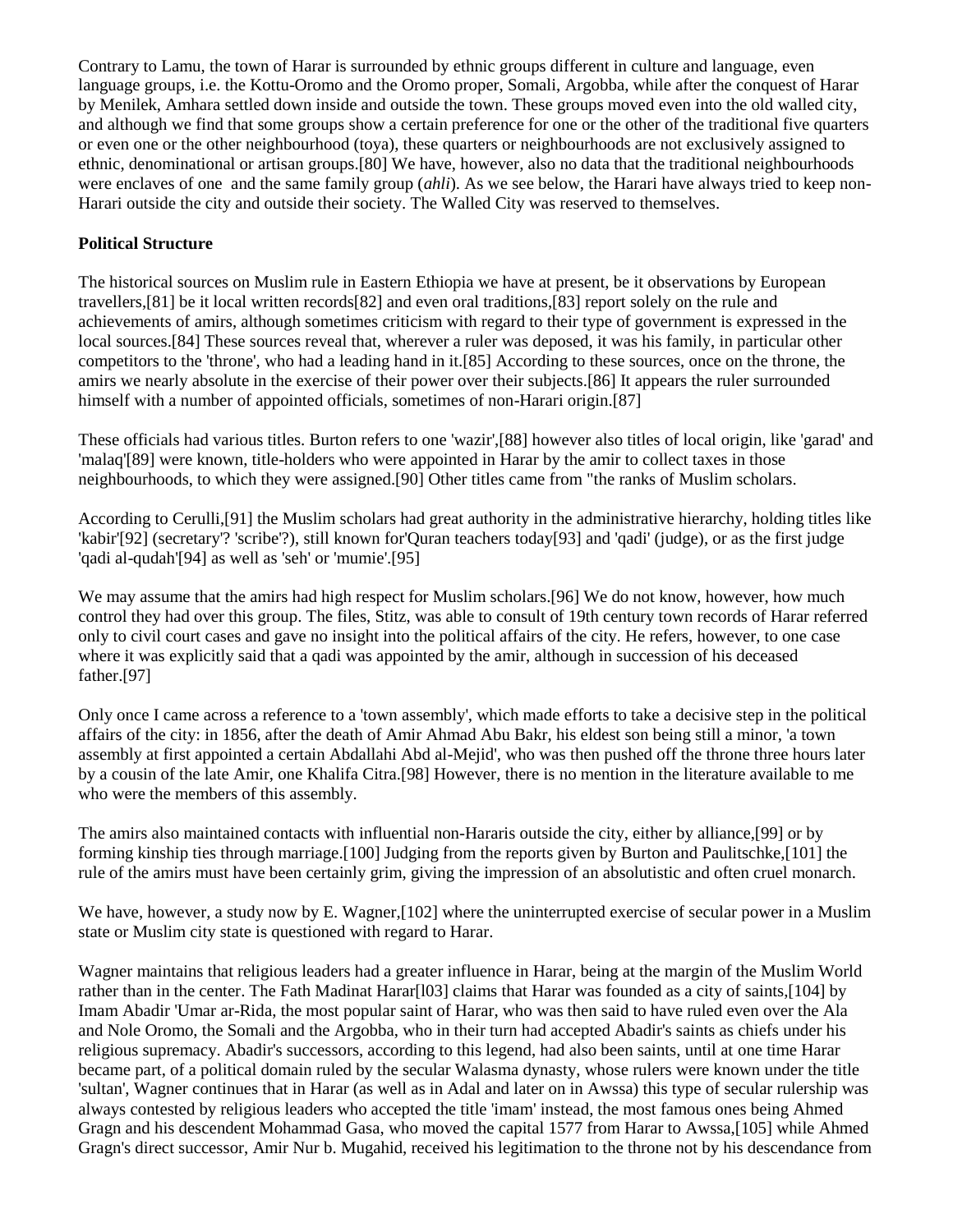Contrary to Lamu, the town of Harar is surrounded by ethnic groups different in culture and language, even language groups, i.e. the Kottu-Oromo and the Oromo proper, Somali, Argobba, while after the conquest of Harar by Menilek, Amhara settled down inside and outside the town. These groups moved even into the old walled city, and although we find that some groups show a certain preference for one or the other of the traditional five quarters or even one or the other neighbourhood (toya), these quarters or neighbourhoods are not exclusively assigned to ethnic, denominational or artisan groups.[80] We have, however, also no data that the traditional neighbourhoods were enclaves of one and the same family group (*ahli*). As we see below, the Harari have always tried to keep non-Harari outside the city and outside their society. The Walled City was reserved to themselves.

## **Political Structure**

The historical sources on Muslim rule in Eastern Ethiopia we have at present, be it observations by European travellers,[81] be it local written records[82] and even oral traditions,[83] report solely on the rule and achievements of amirs, although sometimes criticism with regard to their type of government is expressed in the local sources.[84] These sources reveal that, wherever a ruler was deposed, it was his family, in particular other competitors to the 'throne', who had a leading hand in it.[85] According to these sources, once on the throne, the amirs we nearly absolute in the exercise of their power over their subjects.[86] It appears the ruler surrounded himself with a number of appointed officials, sometimes of non-Harari origin.[87]

These officials had various titles. Burton refers to one 'wazir',[88] however also titles of local origin, like 'garad' and 'malaq'[89] were known, title-holders who were appointed in Harar by the amir to collect taxes in those neighbourhoods, to which they were assigned.[90] Other titles came from "the ranks of Muslim scholars.

According to Cerulli,[91] the Muslim scholars had great authority in the administrative hierarchy, holding titles like 'kabir'[92] (secretary'? 'scribe'?), still known for'Quran teachers today[93] and 'qadi' (judge), or as the first judge 'qadi al-qudah'[94] as well as 'seh' or 'mumie'.[95]

We may assume that the amirs had high respect for Muslim scholars.<sup>[96]</sup> We do not know, however, how much control they had over this group. The files, Stitz, was able to consult of 19th century town records of Harar referred only to civil court cases and gave no insight into the political affairs of the city. He refers, however, to one case where it was explicitly said that a qadi was appointed by the amir, although in succession of his deceased father.[97]

Only once I came across a reference to a 'town assembly', which made efforts to take a decisive step in the political affairs of the city: in 1856, after the death of Amir Ahmad Abu Bakr, his eldest son being still a minor, 'a town assembly at first appointed a certain Abdallahi Abd al-Mejid', who was then pushed off the throne three hours later by a cousin of the late Amir, one Khalifa Citra.[98] However, there is no mention in the literature available to me who were the members of this assembly.

The amirs also maintained contacts with influential non-Hararis outside the city, either by alliance,[99] or by forming kinship ties through marriage.[100] Judging from the reports given by Burton and Paulitschke,[101] the rule of the amirs must have been certainly grim, giving the impression of an absolutistic and often cruel monarch.

We have, however, a study now by E. Wagner, [102] where the uninterrupted exercise of secular power in a Muslim state or Muslim city state is questioned with regard to Harar.

Wagner maintains that religious leaders had a greater influence in Harar, being at the margin of the Muslim World rather than in the center. The Fath Madinat Harar [103] claims that Harar was founded as a city of saints, [104] by Imam Abadir 'Umar ar-Rida, the most popular saint of Harar, who was then said to have ruled even over the Ala and Nole Oromo, the Somali and the Argobba, who in their turn had accepted Abadir's saints as chiefs under his religious supremacy. Abadir's successors, according to this legend, had also been saints, until at one time Harar became part, of a political domain ruled by the secular Walasma dynasty, whose rulers were known under the title 'sultan', Wagner continues that in Harar (as well as in Adal and later on in Awssa) this type of secular rulership was always contested by religious leaders who accepted the title 'imam' instead, the most famous ones being Ahmed Gragn and his descendent Mohammad Gasa, who moved the capital 1577 from Harar to Awssa,[105] while Ahmed Gragn's direct successor, Amir Nur b. Mugahid, received his legitimation to the throne not by his descendance from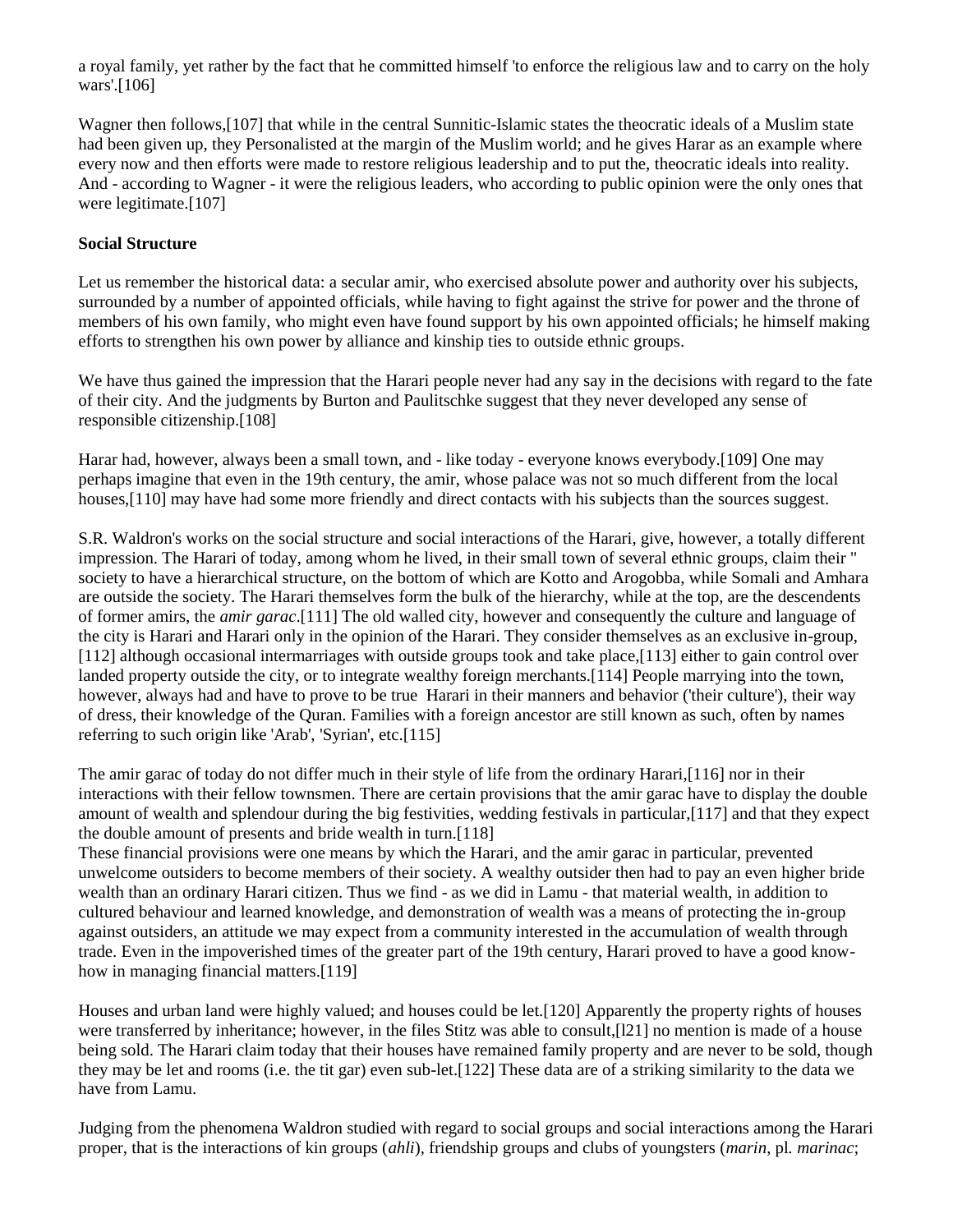a royal family, yet rather by the fact that he committed himself 'to enforce the religious law and to carry on the holy wars'.[106]

Wagner then follows,[107] that while in the central Sunnitic-Islamic states the theocratic ideals of a Muslim state had been given up, they Personalisted at the margin of the Muslim world; and he gives Harar as an example where every now and then efforts were made to restore religious leadership and to put the, theocratic ideals into reality. And - according to Wagner - it were the religious leaders, who according to public opinion were the only ones that were legitimate.[107]

### **Social Structure**

Let us remember the historical data: a secular amir, who exercised absolute power and authority over his subjects, surrounded by a number of appointed officials, while having to fight against the strive for power and the throne of members of his own family, who might even have found support by his own appointed officials; he himself making efforts to strengthen his own power by alliance and kinship ties to outside ethnic groups.

We have thus gained the impression that the Harari people never had any say in the decisions with regard to the fate of their city. And the judgments by Burton and Paulitschke suggest that they never developed any sense of responsible citizenship.[108]

Harar had, however, always been a small town, and - like today - everyone knows everybody.[109] One may perhaps imagine that even in the 19th century, the amir, whose palace was not so much different from the local houses,[110] may have had some more friendly and direct contacts with his subjects than the sources suggest.

S.R. Waldron's works on the social structure and social interactions of the Harari, give, however, a totally different impression. The Harari of today, among whom he lived, in their small town of several ethnic groups, claim their " society to have a hierarchical structure, on the bottom of which are Kotto and Arogobba, while Somali and Amhara are outside the society. The Harari themselves form the bulk of the hierarchy, while at the top, are the descendents of former amirs, the *amir garac*.[111] The old walled city, however and consequently the culture and language of the city is Harari and Harari only in the opinion of the Harari. They consider themselves as an exclusive in-group, [112] although occasional intermarriages with outside groups took and take place,[113] either to gain control over landed property outside the city, or to integrate wealthy foreign merchants.[114] People marrying into the town, however, always had and have to prove to be true Harari in their manners and behavior ('their culture'), their way of dress, their knowledge of the Quran. Families with a foreign ancestor are still known as such, often by names referring to such origin like 'Arab', 'Syrian', etc.[115]

The amir garac of today do not differ much in their style of life from the ordinary Harari,[116] nor in their interactions with their fellow townsmen. There are certain provisions that the amir garac have to display the double amount of wealth and splendour during the big festivities, wedding festivals in particular,[117] and that they expect the double amount of presents and bride wealth in turn.[118]

These financial provisions were one means by which the Harari, and the amir garac in particular, prevented unwelcome outsiders to become members of their society. A wealthy outsider then had to pay an even higher bride wealth than an ordinary Harari citizen. Thus we find - as we did in Lamu - that material wealth, in addition to cultured behaviour and learned knowledge, and demonstration of wealth was a means of protecting the in-group against outsiders, an attitude we may expect from a community interested in the accumulation of wealth through trade. Even in the impoverished times of the greater part of the 19th century, Harari proved to have a good knowhow in managing financial matters.[119]

Houses and urban land were highly valued; and houses could be let.[120] Apparently the property rights of houses were transferred by inheritance; however, in the files Stitz was able to consult,[l21] no mention is made of a house being sold. The Harari claim today that their houses have remained family property and are never to be sold, though they may be let and rooms (i.e. the tit gar) even sub-let.[122] These data are of a striking similarity to the data we have from Lamu.

Judging from the phenomena Waldron studied with regard to social groups and social interactions among the Harari proper, that is the interactions of kin groups (*ahli*), friendship groups and clubs of youngsters (*marin*, pl*. marinac*;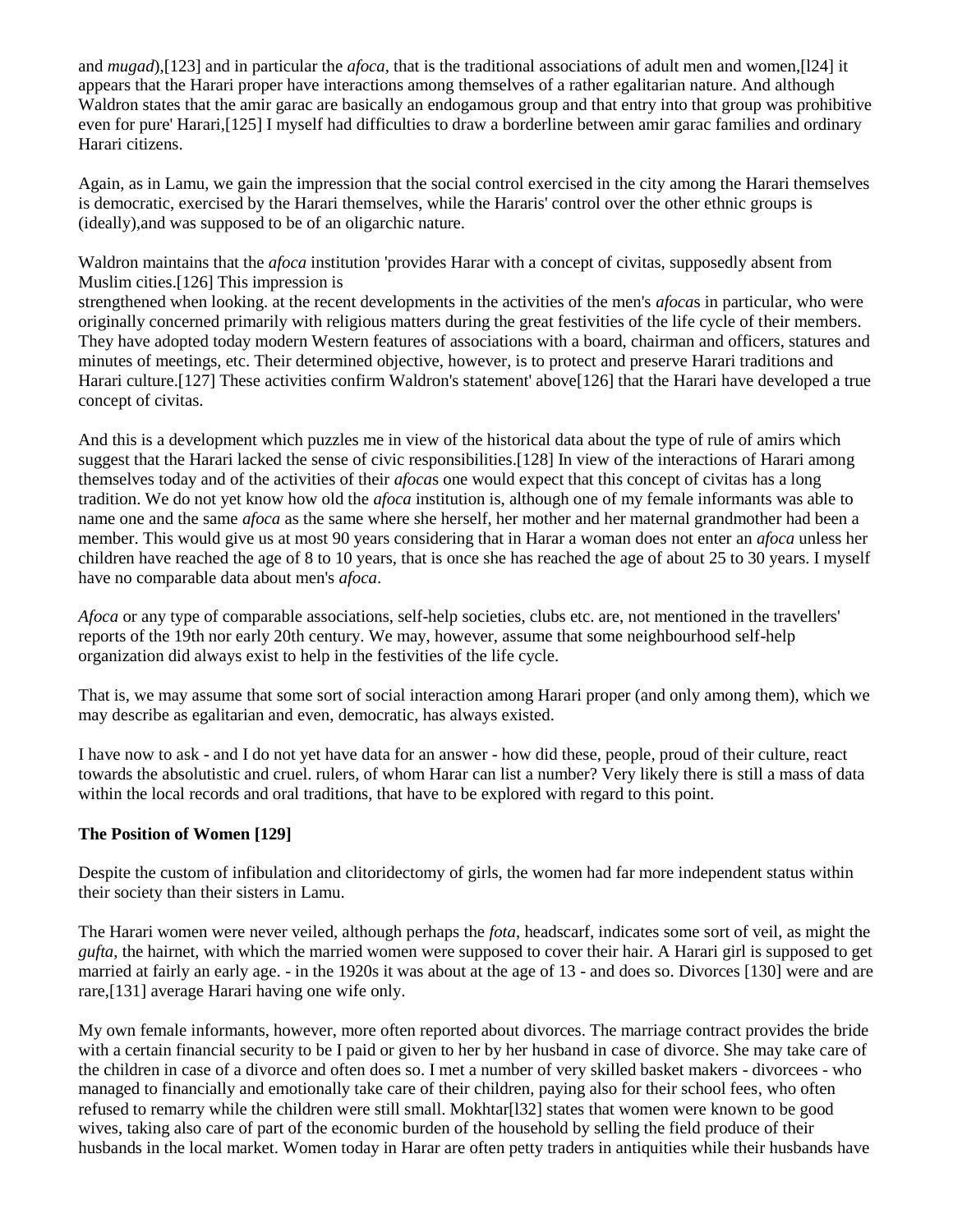and *mugad*),[123] and in particular the *afoca,* that is the traditional associations of adult men and women,[l24] it appears that the Harari proper have interactions among themselves of a rather egalitarian nature. And although Waldron states that the amir garac are basically an endogamous group and that entry into that group was prohibitive even for pure' Harari,[125] I myself had difficulties to draw a borderline between amir garac families and ordinary Harari citizens.

Again, as in Lamu, we gain the impression that the social control exercised in the city among the Harari themselves is democratic, exercised by the Harari themselves, while the Hararis' control over the other ethnic groups is (ideally),and was supposed to be of an oligarchic nature.

Waldron maintains that the *afoca* institution 'provides Harar with a concept of civitas, supposedly absent from Muslim cities.[126] This impression is

strengthened when looking. at the recent developments in the activities of the men's *afoca*s in particular, who were originally concerned primarily with religious matters during the great festivities of the life cycle of their members. They have adopted today modern Western features of associations with a board, chairman and officers, statures and minutes of meetings, etc. Their determined objective, however, is to protect and preserve Harari traditions and Harari culture.[127] These activities confirm Waldron's statement' above[126] that the Harari have developed a true concept of civitas.

And this is a development which puzzles me in view of the historical data about the type of rule of amirs which suggest that the Harari lacked the sense of civic responsibilities.[128] In view of the interactions of Harari among themselves today and of the activities of their *afoca*s one would expect that this concept of civitas has a long tradition. We do not yet know how old the *afoca* institution is, although one of my female informants was able to name one and the same *afoca* as the same where she herself, her mother and her maternal grandmother had been a member. This would give us at most 90 years considering that in Harar a woman does not enter an *afoca* unless her children have reached the age of 8 to 10 years, that is once she has reached the age of about 25 to 30 years. I myself have no comparable data about men's *afoca*.

*Afoca* or any type of comparable associations, self-help societies, clubs etc. are, not mentioned in the travellers' reports of the 19th nor early 20th century. We may, however, assume that some neighbourhood self-help organization did always exist to help in the festivities of the life cycle.

That is, we may assume that some sort of social interaction among Harari proper (and only among them), which we may describe as egalitarian and even, democratic, has always existed.

I have now to ask - and I do not yet have data for an answer - how did these, people, proud of their culture, react towards the absolutistic and cruel. rulers, of whom Harar can list a number? Very likely there is still a mass of data within the local records and oral traditions, that have to be explored with regard to this point.

### **The Position of Women [129]**

Despite the custom of infibulation and clitoridectomy of girls, the women had far more independent status within their society than their sisters in Lamu.

The Harari women were never veiled, although perhaps the *fota*, headscarf, indicates some sort of veil, as might the *gufta*, the hairnet, with which the married women were supposed to cover their hair. A Harari girl is supposed to get married at fairly an early age. - in the 1920s it was about at the age of 13 - and does so. Divorces [130] were and are rare,[131] average Harari having one wife only.

My own female informants, however, more often reported about divorces. The marriage contract provides the bride with a certain financial security to be I paid or given to her by her husband in case of divorce. She may take care of the children in case of a divorce and often does so. I met a number of very skilled basket makers - divorcees - who managed to financially and emotionally take care of their children, paying also for their school fees, who often refused to remarry while the children were still small. Mokhtar[l32] states that women were known to be good wives, taking also care of part of the economic burden of the household by selling the field produce of their husbands in the local market. Women today in Harar are often petty traders in antiquities while their husbands have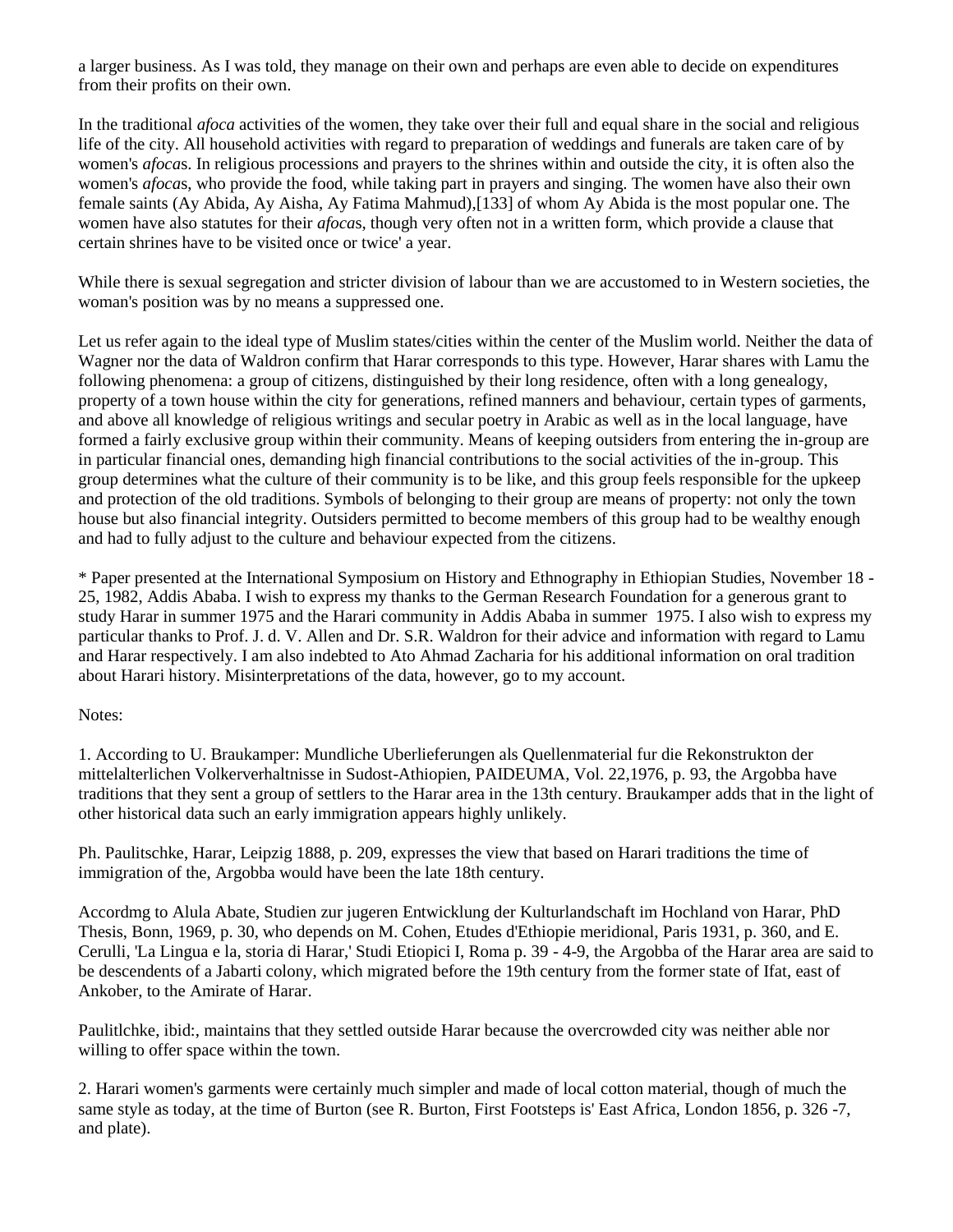a larger business. As I was told, they manage on their own and perhaps are even able to decide on expenditures from their profits on their own.

In the traditional *afoca* activities of the women, they take over their full and equal share in the social and religious life of the city. All household activities with regard to preparation of weddings and funerals are taken care of by women's *afoca*s. In religious processions and prayers to the shrines within and outside the city, it is often also the women's *afoca*s, who provide the food, while taking part in prayers and singing. The women have also their own female saints (Ay Abida, Ay Aisha, Ay Fatima Mahmud),[133] of whom Ay Abida is the most popular one. The women have also statutes for their *afoca*s, though very often not in a written form, which provide a clause that certain shrines have to be visited once or twice' a year.

While there is sexual segregation and stricter division of labour than we are accustomed to in Western societies, the woman's position was by no means a suppressed one.

Let us refer again to the ideal type of Muslim states/cities within the center of the Muslim world. Neither the data of Wagner nor the data of Waldron confirm that Harar corresponds to this type. However, Harar shares with Lamu the following phenomena: a group of citizens, distinguished by their long residence, often with a long genealogy, property of a town house within the city for generations, refined manners and behaviour, certain types of garments, and above all knowledge of religious writings and secular poetry in Arabic as well as in the local language, have formed a fairly exclusive group within their community. Means of keeping outsiders from entering the in-group are in particular financial ones, demanding high financial contributions to the social activities of the in-group. This group determines what the culture of their community is to be like, and this group feels responsible for the upkeep and protection of the old traditions. Symbols of belonging to their group are means of property: not only the town house but also financial integrity. Outsiders permitted to become members of this group had to be wealthy enough and had to fully adjust to the culture and behaviour expected from the citizens.

\* Paper presented at the International Symposium on History and Ethnography in Ethiopian Studies, November 18 - 25, 1982, Addis Ababa. I wish to express my thanks to the German Research Foundation for a generous grant to study Harar in summer 1975 and the Harari community in Addis Ababa in summer 1975. I also wish to express my particular thanks to Prof. J. d. V. Allen and Dr. S.R. Waldron for their advice and information with regard to Lamu and Harar respectively. I am also indebted to Ato Ahmad Zacharia for his additional information on oral tradition about Harari history. Misinterpretations of the data, however, go to my account.

### Notes:

1. According to U. Braukamper: Mundliche Uberlieferungen als Quellenmaterial fur die Rekonstrukton der mittelalterlichen Volkerverhaltnisse in Sudost-Athiopien, PAIDEUMA, Vol. 22,1976, p. 93, the Argobba have traditions that they sent a group of settlers to the Harar area in the 13th century. Braukamper adds that in the light of other historical data such an early immigration appears highly unlikely.

Ph. Paulitschke, Harar, Leipzig 1888, p. 209, expresses the view that based on Harari traditions the time of immigration of the, Argobba would have been the late 18th century.

Accordmg to Alula Abate, Studien zur jugeren Entwicklung der Kulturlandschaft im Hochland von Harar, PhD Thesis, Bonn, 1969, p. 30, who depends on M. Cohen, Etudes d'Ethiopie meridional, Paris 1931, p. 360, and E. Cerulli, 'La Lingua e la, storia di Harar,' Studi Etiopici I, Roma p. 39 - 4-9, the Argobba of the Harar area are said to be descendents of a Jabarti colony, which migrated before the 19th century from the former state of Ifat, east of Ankober, to the Amirate of Harar.

Paulitlchke, ibid:, maintains that they settled outside Harar because the overcrowded city was neither able nor willing to offer space within the town.

2. Harari women's garments were certainly much simpler and made of local cotton material, though of much the same style as today, at the time of Burton (see R. Burton, First Footsteps is' East Africa, London 1856, p. 326 -7, and plate).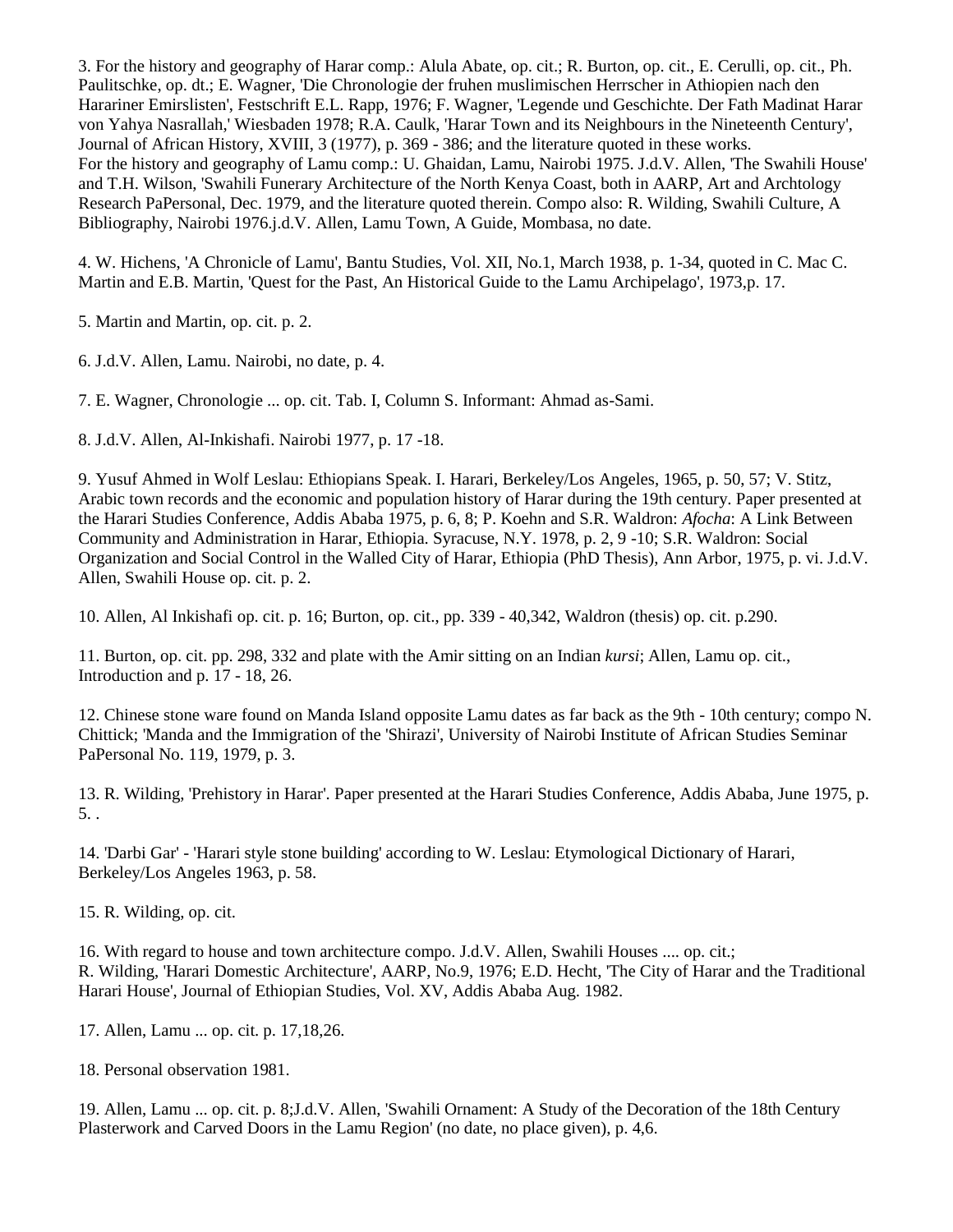3. For the history and geography of Harar comp.: Alula Abate, op. cit.; R. Burton, op. cit., E. Cerulli, op. cit., Ph. Paulitschke, op. dt.; E. Wagner, 'Die Chronologie der fruhen muslimischen Herrscher in Athiopien nach den Harariner Emirslisten', Festschrift E.L. Rapp, 1976; F. Wagner, 'Legende und Geschichte. Der Fath Madinat Harar von Yahya Nasrallah,' Wiesbaden 1978; R.A. Caulk, 'Harar Town and its Neighbours in the Nineteenth Century', Journal of African History, XVIII, 3 (1977), p. 369 - 386; and the literature quoted in these works. For the history and geography of Lamu comp.: U. Ghaidan, Lamu, Nairobi 1975. J.d.V. Allen, 'The Swahili House' and T.H. Wilson, 'Swahili Funerary Architecture of the North Kenya Coast, both in AARP, Art and Archtology Research PaPersonal, Dec. 1979, and the literature quoted therein. Compo also: R. Wilding, Swahili Culture, A Bibliography, Nairobi 1976.j.d.V. Allen, Lamu Town, A Guide, Mombasa, no date.

4. W. Hichens, 'A Chronicle of Lamu', Bantu Studies, Vol. XII, No.1, March 1938, p. 1-34, quoted in C. Mac C. Martin and E.B. Martin, 'Quest for the Past, An Historical Guide to the Lamu Archipelago', 1973,p. 17.

5. Martin and Martin, op. cit. p. 2.

6. J.d.V. Allen, Lamu. Nairobi, no date, p. 4.

7. E. Wagner, Chronologie ... op. cit. Tab. I, Column S. Informant: Ahmad as-Sami.

8. J.d.V. Allen, Al-Inkishafi. Nairobi 1977, p. 17 -18.

9. Yusuf Ahmed in Wolf Leslau: Ethiopians Speak. I. Harari, Berkeley/Los Angeles, 1965, p. 50, 57; V. Stitz, Arabic town records and the economic and population history of Harar during the 19th century. Paper presented at the Harari Studies Conference, Addis Ababa 1975, p. 6, 8; P. Koehn and S.R. Waldron: *Afocha*: A Link Between Community and Administration in Harar, Ethiopia. Syracuse, N.Y. 1978, p. 2, 9 -10; S.R. Waldron: Social Organization and Social Control in the Walled City of Harar, Ethiopia (PhD Thesis), Ann Arbor, 1975, p. vi. J.d.V. Allen, Swahili House op. cit. p. 2.

10. Allen, Al Inkishafi op. cit. p. 16; Burton, op. cit., pp. 339 - 40,342, Waldron (thesis) op. cit. p.290.

11. Burton, op. cit. pp. 298, 332 and plate with the Amir sitting on an Indian *kursi*; Allen, Lamu op. cit., Introduction and p. 17 - 18, 26.

12. Chinese stone ware found on Manda Island opposite Lamu dates as far back as the 9th - 10th century; compo N. Chittick; 'Manda and the Immigration of the 'Shirazi', University of Nairobi Institute of African Studies Seminar PaPersonal No. 119, 1979, p. 3.

13. R. Wilding, 'Prehistory in Harar'. Paper presented at the Harari Studies Conference, Addis Ababa, June 1975, p. 5. .

14. 'Darbi Gar' - 'Harari style stone building' according to W. Leslau: Etymological Dictionary of Harari, Berkeley/Los Angeles 1963, p. 58.

15. R. Wilding, op. cit.

16. With regard to house and town architecture compo. J.d.V. Allen, Swahili Houses .... op. cit.; R. Wilding, 'Harari Domestic Architecture', AARP, No.9, 1976; E.D. Hecht, 'The City of Harar and the Traditional Harari House', Journal of Ethiopian Studies, Vol. XV, Addis Ababa Aug. 1982.

17. Allen, Lamu ... op. cit. p. 17,18,26.

18. Personal observation 1981.

19. Allen, Lamu ... op. cit. p. 8;J.d.V. Allen, 'Swahili Ornament: A Study of the Decoration of the 18th Century Plasterwork and Carved Doors in the Lamu Region' (no date, no place given), p. 4,6.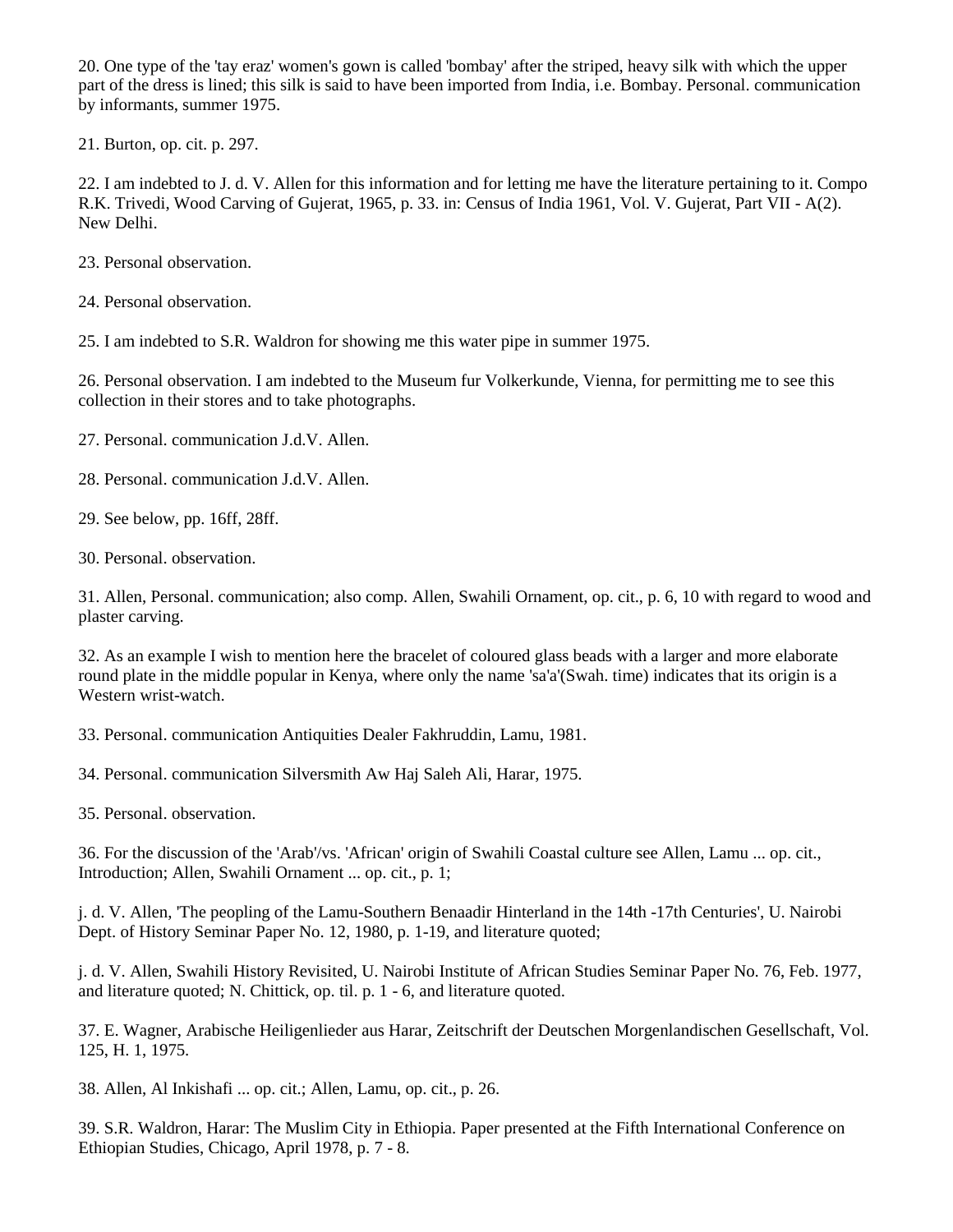20. One type of the 'tay eraz' women's gown is called 'bombay' after the striped, heavy silk with which the upper part of the dress is lined; this silk is said to have been imported from India, i.e. Bombay. Personal. communication by informants, summer 1975.

21. Burton, op. cit. p. 297.

22. I am indebted to J. d. V. Allen for this information and for letting me have the literature pertaining to it. Compo R.K. Trivedi, Wood Carving of Gujerat, 1965, p. 33. in: Census of India 1961, Vol. V. Gujerat, Part VII - A(2). New Delhi.

23. Personal observation.

24. Personal observation.

25. I am indebted to S.R. Waldron for showing me this water pipe in summer 1975.

26. Personal observation. I am indebted to the Museum fur Volkerkunde, Vienna, for permitting me to see this collection in their stores and to take photographs.

- 27. Personal. communication J.d.V. Allen.
- 28. Personal. communication J.d.V. Allen.
- 29. See below, pp. 16ff, 28ff.
- 30. Personal. observation.

31. Allen, Personal. communication; also comp. Allen, Swahili Ornament, op. cit., p. 6, 10 with regard to wood and plaster carving.

32. As an example I wish to mention here the bracelet of coloured glass beads with a larger and more elaborate round plate in the middle popular in Kenya, where only the name 'sa'a'(Swah. time) indicates that its origin is a Western wrist-watch.

33. Personal. communication Antiquities Dealer Fakhruddin, Lamu, 1981.

34. Personal. communication Silversmith Aw Haj Saleh Ali, Harar, 1975.

35. Personal. observation.

36. For the discussion of the 'Arab'/vs. 'African' origin of Swahili Coastal culture see Allen, Lamu ... op. cit., Introduction; Allen, Swahili Ornament ... op. cit., p. 1;

j. d. V. Allen, 'The peopling of the Lamu-Southern Benaadir Hinterland in the 14th -17th Centuries', U. Nairobi Dept. of History Seminar Paper No. 12, 1980, p. 1-19, and literature quoted;

j. d. V. Allen, Swahili History Revisited, U. Nairobi Institute of African Studies Seminar Paper No. 76, Feb. 1977, and literature quoted; N. Chittick, op. til. p. 1 - 6, and literature quoted.

37. E. Wagner, Arabische Heiligenlieder aus Harar, Zeitschrift der Deutschen Morgenlandischen Gesellschaft, Vol. 125, H. 1, 1975.

38. Allen, Al Inkishafi ... op. cit.; Allen, Lamu, op. cit., p. 26.

39. S.R. Waldron, Harar: The Muslim City in Ethiopia. Paper presented at the Fifth International Conference on Ethiopian Studies, Chicago, April 1978, p. 7 - 8.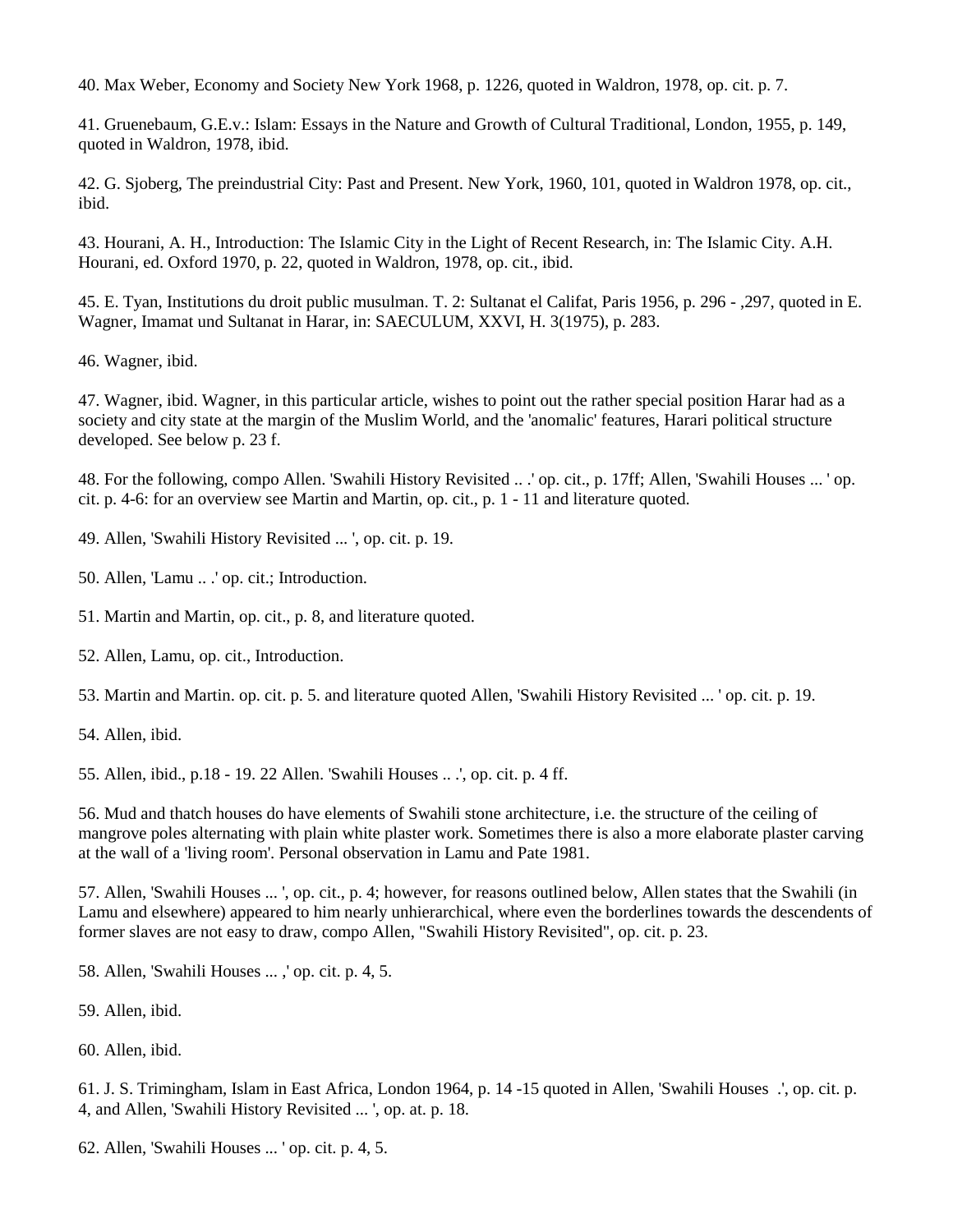40. Max Weber, Economy and Society New York 1968, p. 1226, quoted in Waldron, 1978, op. cit. p. 7.

41. Gruenebaum, G.E.v.: Islam: Essays in the Nature and Growth of Cultural Traditional, London, 1955, p. 149, quoted in Waldron, 1978, ibid.

42. G. Sjoberg, The preindustrial City: Past and Present. New York, 1960, 101, quoted in Waldron 1978, op. cit., ibid.

43. Hourani, A. H., Introduction: The Islamic City in the Light of Recent Research, in: The Islamic City. A.H. Hourani, ed. Oxford 1970, p. 22, quoted in Waldron, 1978, op. cit., ibid.

45. E. Tyan, Institutions du droit public musulman. T. 2: Sultanat el Califat, Paris 1956, p. 296 - ,297, quoted in E. Wagner, Imamat und Sultanat in Harar, in: SAECULUM, XXVI, H. 3(1975), p. 283.

46. Wagner, ibid.

47. Wagner, ibid. Wagner, in this particular article, wishes to point out the rather special position Harar had as a society and city state at the margin of the Muslim World, and the 'anomalic' features, Harari political structure developed. See below p. 23 f.

48. For the following, compo Allen. 'Swahili History Revisited .. .' op. cit., p. 17ff; Allen, 'Swahili Houses ... ' op. cit. p. 4-6: for an overview see Martin and Martin, op. cit., p. 1 - 11 and literature quoted.

49. Allen, 'Swahili History Revisited ... ', op. cit. p. 19.

50. Allen, 'Lamu .. .' op. cit.; Introduction.

51. Martin and Martin, op. cit., p. 8, and literature quoted.

52. Allen, Lamu, op. cit., Introduction.

53. Martin and Martin. op. cit. p. 5. and literature quoted Allen, 'Swahili History Revisited ... ' op. cit. p. 19.

54. Allen, ibid.

55. Allen, ibid., p.18 - 19. 22 Allen. 'Swahili Houses .. .', op. cit. p. 4 ff.

56. Mud and thatch houses do have elements of Swahili stone architecture, i.e. the structure of the ceiling of mangrove poles alternating with plain white plaster work. Sometimes there is also a more elaborate plaster carving at the wall of a 'living room'. Personal observation in Lamu and Pate 1981.

57. Allen, 'Swahili Houses ... ', op. cit., p. 4; however, for reasons outlined below, Allen states that the Swahili (in Lamu and elsewhere) appeared to him nearly unhierarchical, where even the borderlines towards the descendents of former slaves are not easy to draw, compo Allen, "Swahili History Revisited", op. cit. p. 23.

58. Allen, 'Swahili Houses ... ,' op. cit. p. 4, 5.

59. Allen, ibid.

60. Allen, ibid.

61. J. S. Trimingham, Islam in East Africa, London 1964, p. 14 -15 quoted in Allen, 'Swahili Houses .', op. cit. p. 4, and Allen, 'Swahili History Revisited ... ', op. at. p. 18.

62. Allen, 'Swahili Houses ... ' op. cit. p. 4, 5.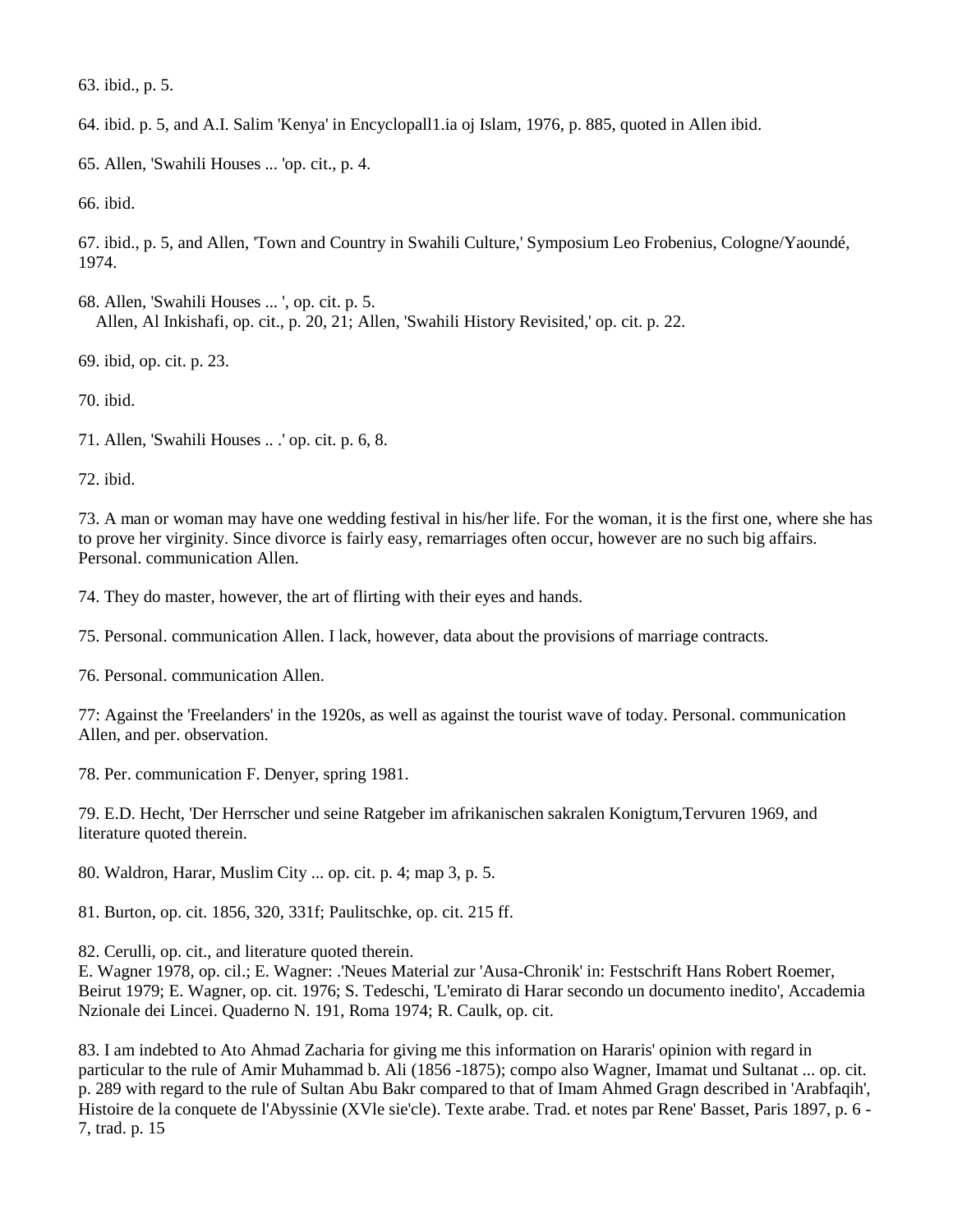63. ibid., p. 5.

64. ibid. p. 5, and A.I. Salim 'Kenya' in Encyclopall1.ia oj Islam, 1976, p. 885, quoted in Allen ibid.

65. Allen, 'Swahili Houses ... 'op. cit., p. 4.

66. ibid.

67. ibid., p. 5, and Allen, 'Town and Country in Swahili Culture,' Symposium Leo Frobenius, Cologne/Yaoundé, 1974.

68. Allen, 'Swahili Houses ... ', op. cit. p. 5. Allen, Al Inkishafi, op. cit., p. 20, 21; Allen, 'Swahili History Revisited,' op. cit. p. 22.

69. ibid, op. cit. p. 23.

70. ibid.

71. Allen, 'Swahili Houses .. .' op. cit. p. 6, 8.

72. ibid.

73. A man or woman may have one wedding festival in his/her life. For the woman, it is the first one, where she has to prove her virginity. Since divorce is fairly easy, remarriages often occur, however are no such big affairs. Personal. communication Allen.

74. They do master, however, the art of flirting with their eyes and hands.

75. Personal. communication Allen. I lack, however, data about the provisions of marriage contracts.

76. Personal. communication Allen.

77: Against the 'Freelanders' in the 1920s, as well as against the tourist wave of today. Personal. communication Allen, and per. observation.

78. Per. communication F. Denyer, spring 1981.

79. E.D. Hecht, 'Der Herrscher und seine Ratgeber im afrikanischen sakralen Konigtum,Tervuren 1969, and literature quoted therein.

80. Waldron, Harar, Muslim City ... op. cit. p. 4; map 3, p. 5.

81. Burton, op. cit. 1856, 320, 331f; Paulitschke, op. cit. 215 ff.

82. Cerulli, op. cit., and literature quoted therein.

E. Wagner 1978, op. cil.; E. Wagner: .'Neues Material zur 'Ausa-Chronik' in: Festschrift Hans Robert Roemer, Beirut 1979; E. Wagner, op. cit. 1976; S. Tedeschi, 'L'emirato di Harar secondo un documento inedito', Accademia Nzionale dei Lincei. Quaderno N. 191, Roma 1974; R. Caulk, op. cit.

83. I am indebted to Ato Ahmad Zacharia for giving me this information on Hararis' opinion with regard in particular to the rule of Amir Muhammad b. Ali (1856 -1875); compo also Wagner, Imamat und Sultanat ... op. cit. p. 289 with regard to the rule of Sultan Abu Bakr compared to that of Imam Ahmed Gragn described in 'Arabfaqih', Histoire de la conquete de l'Abyssinie (XVle sie'cle). Texte arabe. Trad. et notes par Rene' Basset, Paris 1897, p. 6 - 7, trad. p. 15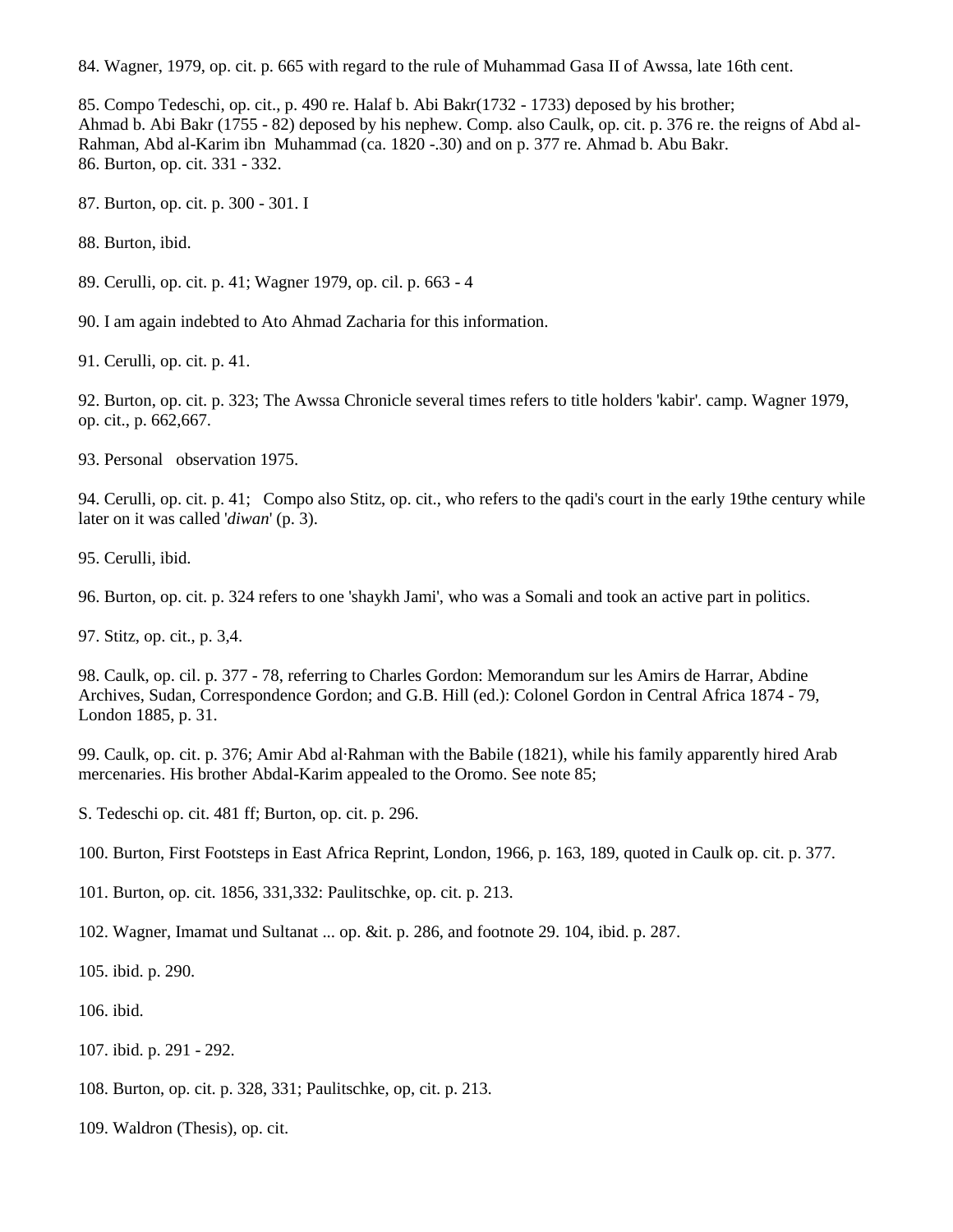84. Wagner, 1979, op. cit. p. 665 with regard to the rule of Muhammad Gasa II of Awssa, late 16th cent.

85. Compo Tedeschi, op. cit., p. 490 re. Halaf b. Abi Bakr(1732 - 1733) deposed by his brother; Ahmad b. Abi Bakr (1755 - 82) deposed by his nephew. Comp. also Caulk, op. cit. p. 376 re. the reigns of Abd al-Rahman, Abd al-Karim ibn Muhammad (ca. 1820 -.30) and on p. 377 re. Ahmad b. Abu Bakr. 86. Burton, op. cit. 331 - 332.

87. Burton, op. cit. p. 300 - 301. I

88. Burton, ibid.

89. Cerulli, op. cit. p. 41; Wagner 1979, op. cil. p. 663 - 4

90. I am again indebted to Ato Ahmad Zacharia for this information.

91. Cerulli, op. cit. p. 41.

92. Burton, op. cit. p. 323; The Awssa Chronicle several times refers to title holders 'kabir'. camp. Wagner 1979, op. cit., p. 662,667.

93. Personal observation 1975.

94. Cerulli, op. cit. p. 41; Compo also Stitz, op. cit., who refers to the qadi's court in the early 19the century while later on it was called '*diwan*' (p. 3).

95. Cerulli, ibid.

96. Burton, op. cit. p. 324 refers to one 'shaykh Jami', who was a Somali and took an active part in politics.

97. Stitz, op. cit., p. 3,4.

98. Caulk, op. cil. p. 377 - 78, referring to Charles Gordon: Memorandum sur les Amirs de Harrar, Abdine Archives, Sudan, Correspondence Gordon; and G.B. Hill (ed.): Colonel Gordon in Central Africa 1874 - 79, London 1885, p. 31.

99. Caulk, op. cit. p. 376; Amir Abd al·Rahman with the Babile (1821), while his family apparently hired Arab mercenaries. His brother Abdal-Karim appealed to the Oromo. See note 85;

S. Tedeschi op. cit. 481 ff; Burton, op. cit. p. 296.

100. Burton, First Footsteps in East Africa Reprint, London, 1966, p. 163, 189, quoted in Caulk op. cit. p. 377.

101. Burton, op. cit. 1856, 331,332: Paulitschke, op. cit. p. 213.

102. Wagner, Imamat und Sultanat ... op. &it. p. 286, and footnote 29. 104, ibid. p. 287.

105. ibid. p. 290.

106. ibid.

107. ibid. p. 291 - 292.

108. Burton, op. cit. p. 328, 331; Paulitschke, op, cit. p. 213.

109. Waldron (Thesis), op. cit.